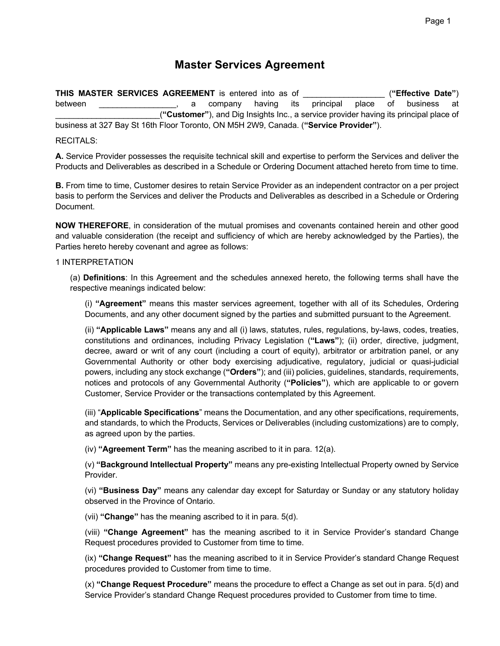# **Master Services Agreement**

**THIS MASTER SERVICES AGREEMENT** is entered into as of \_\_\_\_\_\_\_\_\_\_\_\_\_\_\_\_\_\_ (**"Effective Date"**) between **between** a metal of a company having its principal place of business at \_\_\_\_\_\_\_\_\_\_\_\_\_\_\_\_\_\_\_\_\_\_\_(**"Customer"**), and Dig Insights Inc., a service provider having its principal place of business at 327 Bay St 16th Floor Toronto, ON M5H 2W9, Canada. (**"Service Provider"**).

## RECITALS:

**A.** Service Provider possesses the requisite technical skill and expertise to perform the Services and deliver the Products and Deliverables as described in a Schedule or Ordering Document attached hereto from time to time.

**B.** From time to time, Customer desires to retain Service Provider as an independent contractor on a per project basis to perform the Services and deliver the Products and Deliverables as described in a Schedule or Ordering Document.

**NOW THEREFORE**, in consideration of the mutual promises and covenants contained herein and other good and valuable consideration (the receipt and sufficiency of which are hereby acknowledged by the Parties), the Parties hereto hereby covenant and agree as follows:

## 1 INTERPRETATION

(a) **Definitions**: In this Agreement and the schedules annexed hereto, the following terms shall have the respective meanings indicated below:

(i) **"Agreement"** means this master services agreement, together with all of its Schedules, Ordering Documents, and any other document signed by the parties and submitted pursuant to the Agreement.

(ii) **"Applicable Laws"** means any and all (i) laws, statutes, rules, regulations, by-laws, codes, treaties, constitutions and ordinances, including Privacy Legislation (**"Laws"**); (ii) order, directive, judgment, decree, award or writ of any court (including a court of equity), arbitrator or arbitration panel, or any Governmental Authority or other body exercising adjudicative, regulatory, judicial or quasi-judicial powers, including any stock exchange (**"Orders"**); and (iii) policies, guidelines, standards, requirements, notices and protocols of any Governmental Authority (**"Policies"**), which are applicable to or govern Customer, Service Provider or the transactions contemplated by this Agreement.

(iii) "**Applicable Specifications**" means the Documentation, and any other specifications, requirements, and standards, to which the Products, Services or Deliverables (including customizations) are to comply, as agreed upon by the parties.

(iv) **"Agreement Term"** has the meaning ascribed to it in para. 12(a).

(v) **"Background Intellectual Property"** means any pre-existing Intellectual Property owned by Service Provider.

(vi) **"Business Day"** means any calendar day except for Saturday or Sunday or any statutory holiday observed in the Province of Ontario.

(vii) **"Change"** has the meaning ascribed to it in para. 5(d).

(viii) **"Change Agreement"** has the meaning ascribed to it in Service Provider's standard Change Request procedures provided to Customer from time to time.

(ix) **"Change Request"** has the meaning ascribed to it in Service Provider's standard Change Request procedures provided to Customer from time to time.

(x) **"Change Request Procedure"** means the procedure to effect a Change as set out in para. 5(d) and Service Provider's standard Change Request procedures provided to Customer from time to time.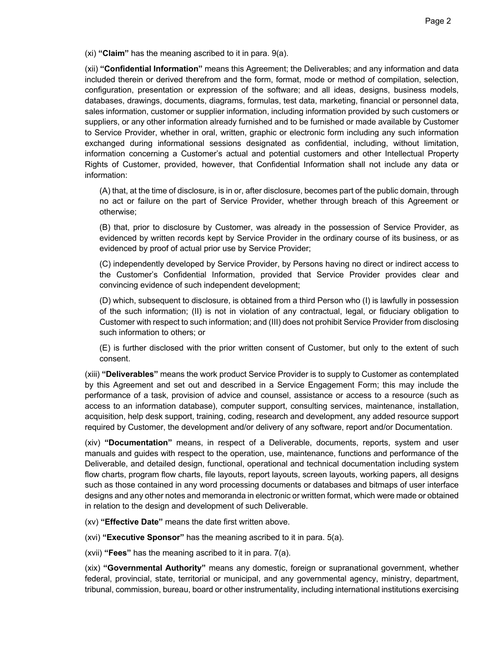(xii) **"Confidential Information"** means this Agreement; the Deliverables; and any information and data included therein or derived therefrom and the form, format, mode or method of compilation, selection, configuration, presentation or expression of the software; and all ideas, designs, business models, databases, drawings, documents, diagrams, formulas, test data, marketing, financial or personnel data, sales information, customer or supplier information, including information provided by such customers or suppliers, or any other information already furnished and to be furnished or made available by Customer to Service Provider, whether in oral, written, graphic or electronic form including any such information exchanged during informational sessions designated as confidential, including, without limitation, information concerning a Customer's actual and potential customers and other Intellectual Property Rights of Customer, provided, however, that Confidential Information shall not include any data or information:

(A) that, at the time of disclosure, is in or, after disclosure, becomes part of the public domain, through no act or failure on the part of Service Provider, whether through breach of this Agreement or otherwise;

(B) that, prior to disclosure by Customer, was already in the possession of Service Provider, as evidenced by written records kept by Service Provider in the ordinary course of its business, or as evidenced by proof of actual prior use by Service Provider;

(C) independently developed by Service Provider, by Persons having no direct or indirect access to the Customer's Confidential Information, provided that Service Provider provides clear and convincing evidence of such independent development;

(D) which, subsequent to disclosure, is obtained from a third Person who (I) is lawfully in possession of the such information; (II) is not in violation of any contractual, legal, or fiduciary obligation to Customer with respect to such information; and (III) does not prohibit Service Provider from disclosing such information to others; or

(E) is further disclosed with the prior written consent of Customer, but only to the extent of such consent.

(xiii) **"Deliverables"** means the work product Service Provider is to supply to Customer as contemplated by this Agreement and set out and described in a Service Engagement Form; this may include the performance of a task, provision of advice and counsel, assistance or access to a resource (such as access to an information database), computer support, consulting services, maintenance, installation, acquisition, help desk support, training, coding, research and development, any added resource support required by Customer, the development and/or delivery of any software, report and/or Documentation.

(xiv) **"Documentation"** means, in respect of a Deliverable, documents, reports, system and user manuals and guides with respect to the operation, use, maintenance, functions and performance of the Deliverable, and detailed design, functional, operational and technical documentation including system flow charts, program flow charts, file layouts, report layouts, screen layouts, working papers, all designs such as those contained in any word processing documents or databases and bitmaps of user interface designs and any other notes and memoranda in electronic or written format, which were made or obtained in relation to the design and development of such Deliverable.

(xv) **"Effective Date"** means the date first written above.

(xvi) **"Executive Sponsor"** has the meaning ascribed to it in para. 5(a).

(xvii) **"Fees"** has the meaning ascribed to it in para. 7(a).

(xix) **"Governmental Authority"** means any domestic, foreign or supranational government, whether federal, provincial, state, territorial or municipal, and any governmental agency, ministry, department, tribunal, commission, bureau, board or other instrumentality, including international institutions exercising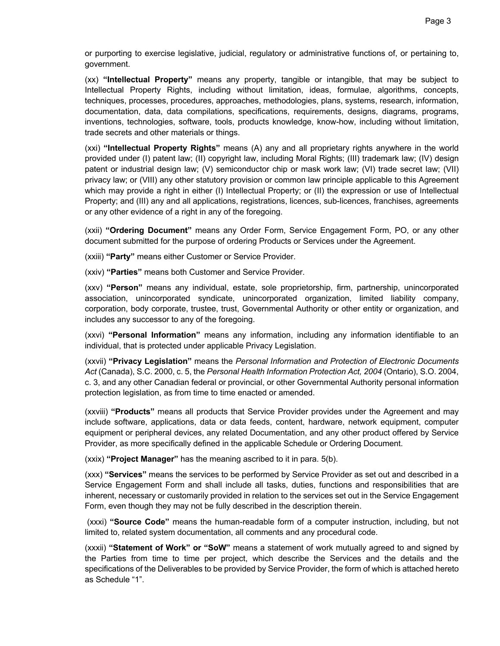or purporting to exercise legislative, judicial, regulatory or administrative functions of, or pertaining to, government.

(xx) **"Intellectual Property"** means any property, tangible or intangible, that may be subject to Intellectual Property Rights, including without limitation, ideas, formulae, algorithms, concepts, techniques, processes, procedures, approaches, methodologies, plans, systems, research, information, documentation, data, data compilations, specifications, requirements, designs, diagrams, programs, inventions, technologies, software, tools, products knowledge, know-how, including without limitation, trade secrets and other materials or things.

(xxi) **"Intellectual Property Rights"** means (A) any and all proprietary rights anywhere in the world provided under (I) patent law; (II) copyright law, including Moral Rights; (III) trademark law; (IV) design patent or industrial design law; (V) semiconductor chip or mask work law; (VI) trade secret law; (VII) privacy law; or (VIII) any other statutory provision or common law principle applicable to this Agreement which may provide a right in either (I) Intellectual Property; or (II) the expression or use of Intellectual Property; and (III) any and all applications, registrations, licences, sub-licences, franchises, agreements or any other evidence of a right in any of the foregoing.

(xxii) **"Ordering Document"** means any Order Form, Service Engagement Form, PO, or any other document submitted for the purpose of ordering Products or Services under the Agreement.

(xxiii) **"Party"** means either Customer or Service Provider.

(xxiv) **"Parties"** means both Customer and Service Provider.

(xxv) **"Person"** means any individual, estate, sole proprietorship, firm, partnership, unincorporated association, unincorporated syndicate, unincorporated organization, limited liability company, corporation, body corporate, trustee, trust, Governmental Authority or other entity or organization, and includes any successor to any of the foregoing.

(xxvi) **"Personal Information"** means any information, including any information identifiable to an individual, that is protected under applicable Privacy Legislation.

(xxvii) **"Privacy Legislation"** means the *Personal Information and Protection of Electronic Documents Act* (Canada), S.C. 2000, c. 5, the *Personal Health Information Protection Act, 2004* (Ontario), S.O. 2004, c. 3, and any other Canadian federal or provincial, or other Governmental Authority personal information protection legislation, as from time to time enacted or amended.

(xxviii) **"Products"** means all products that Service Provider provides under the Agreement and may include software, applications, data or data feeds, content, hardware, network equipment, computer equipment or peripheral devices, any related Documentation, and any other product offered by Service Provider, as more specifically defined in the applicable Schedule or Ordering Document.

(xxix) **"Project Manager"** has the meaning ascribed to it in para. 5(b).

(xxx) **"Services"** means the services to be performed by Service Provider as set out and described in a Service Engagement Form and shall include all tasks, duties, functions and responsibilities that are inherent, necessary or customarily provided in relation to the services set out in the Service Engagement Form, even though they may not be fully described in the description therein.

(xxxi) **"Source Code"** means the human-readable form of a computer instruction, including, but not limited to, related system documentation, all comments and any procedural code.

(xxxii) **"Statement of Work" or "SoW"** means a statement of work mutually agreed to and signed by the Parties from time to time per project, which describe the Services and the details and the specifications of the Deliverables to be provided by Service Provider, the form of which is attached hereto as Schedule "1".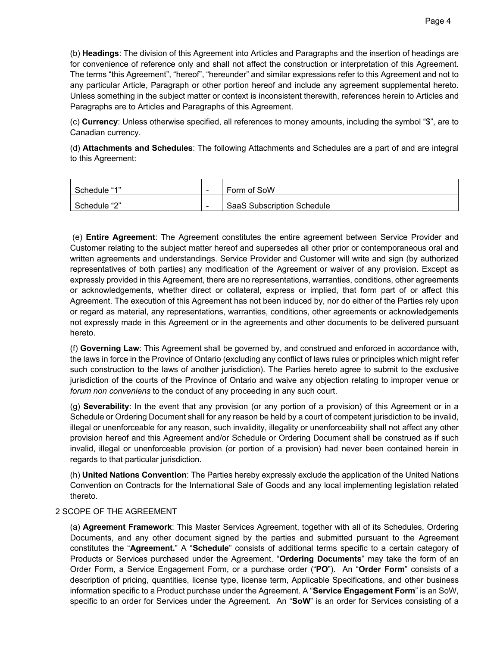(b) **Headings**: The division of this Agreement into Articles and Paragraphs and the insertion of headings are for convenience of reference only and shall not affect the construction or interpretation of this Agreement. The terms "this Agreement", "hereof", "hereunder" and similar expressions refer to this Agreement and not to any particular Article, Paragraph or other portion hereof and include any agreement supplemental hereto. Unless something in the subject matter or context is inconsistent therewith, references herein to Articles and Paragraphs are to Articles and Paragraphs of this Agreement.

(c) **Currency**: Unless otherwise specified, all references to money amounts, including the symbol "\$", are to Canadian currency.

(d) **Attachments and Schedules**: The following Attachments and Schedules are a part of and are integral to this Agreement:

| Schedule "1" | $\overline{\phantom{0}}$ | Form of SoW                       |
|--------------|--------------------------|-----------------------------------|
| Schedule "2" | $\overline{\phantom{0}}$ | <b>SaaS Subscription Schedule</b> |

(e) **Entire Agreement**: The Agreement constitutes the entire agreement between Service Provider and Customer relating to the subject matter hereof and supersedes all other prior or contemporaneous oral and written agreements and understandings. Service Provider and Customer will write and sign (by authorized representatives of both parties) any modification of the Agreement or waiver of any provision. Except as expressly provided in this Agreement, there are no representations, warranties, conditions, other agreements or acknowledgements, whether direct or collateral, express or implied, that form part of or affect this Agreement. The execution of this Agreement has not been induced by, nor do either of the Parties rely upon or regard as material, any representations, warranties, conditions, other agreements or acknowledgements not expressly made in this Agreement or in the agreements and other documents to be delivered pursuant hereto.

(f) **Governing Law**: This Agreement shall be governed by, and construed and enforced in accordance with, the laws in force in the Province of Ontario (excluding any conflict of laws rules or principles which might refer such construction to the laws of another jurisdiction). The Parties hereto agree to submit to the exclusive jurisdiction of the courts of the Province of Ontario and waive any objection relating to improper venue or *forum non conveniens* to the conduct of any proceeding in any such court.

(g) **Severability**: In the event that any provision (or any portion of a provision) of this Agreement or in a Schedule or Ordering Document shall for any reason be held by a court of competent jurisdiction to be invalid, illegal or unenforceable for any reason, such invalidity, illegality or unenforceability shall not affect any other provision hereof and this Agreement and/or Schedule or Ordering Document shall be construed as if such invalid, illegal or unenforceable provision (or portion of a provision) had never been contained herein in regards to that particular jurisdiction.

(h) **United Nations Convention**: The Parties hereby expressly exclude the application of the United Nations Convention on Contracts for the International Sale of Goods and any local implementing legislation related thereto.

## 2 SCOPE OF THE AGREEMENT

(a) **Agreement Framework**: This Master Services Agreement, together with all of its Schedules, Ordering Documents, and any other document signed by the parties and submitted pursuant to the Agreement constitutes the "**Agreement.**" A "**Schedule**" consists of additional terms specific to a certain category of Products or Services purchased under the Agreement. "**Ordering Documents**" may take the form of an Order Form, a Service Engagement Form, or a purchase order ("**PO**"). An "**Order Form**" consists of a description of pricing, quantities, license type, license term, Applicable Specifications, and other business information specific to a Product purchase under the Agreement. A "**Service Engagement Form**" is an SoW, specific to an order for Services under the Agreement. An "**SoW**" is an order for Services consisting of a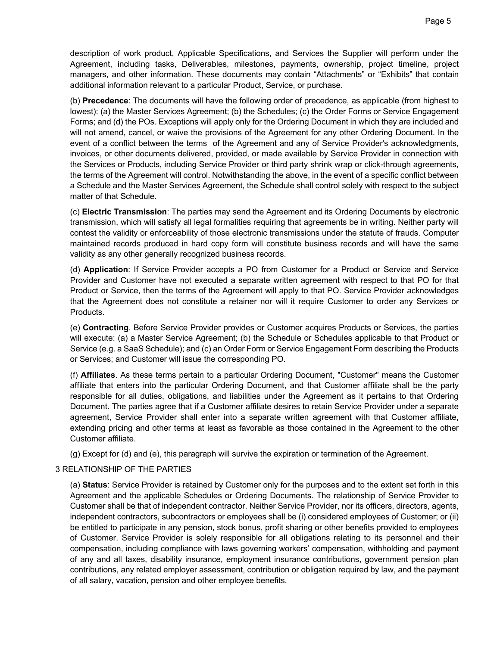description of work product, Applicable Specifications, and Services the Supplier will perform under the Agreement, including tasks, Deliverables, milestones, payments, ownership, project timeline, project managers, and other information. These documents may contain "Attachments" or "Exhibits" that contain additional information relevant to a particular Product, Service, or purchase.

(b) **Precedence**: The documents will have the following order of precedence, as applicable (from highest to lowest): (a) the Master Services Agreement; (b) the Schedules; (c) the Order Forms or Service Engagement Forms; and (d) the POs. Exceptions will apply only for the Ordering Document in which they are included and will not amend, cancel, or waive the provisions of the Agreement for any other Ordering Document. In the event of a conflict between the terms of the Agreement and any of Service Provider's acknowledgments, invoices, or other documents delivered, provided, or made available by Service Provider in connection with the Services or Products, including Service Provider or third party shrink wrap or click-through agreements, the terms of the Agreement will control. Notwithstanding the above, in the event of a specific conflict between a Schedule and the Master Services Agreement, the Schedule shall control solely with respect to the subject matter of that Schedule.

(c) **Electric Transmission**: The parties may send the Agreement and its Ordering Documents by electronic transmission, which will satisfy all legal formalities requiring that agreements be in writing. Neither party will contest the validity or enforceability of those electronic transmissions under the statute of frauds. Computer maintained records produced in hard copy form will constitute business records and will have the same validity as any other generally recognized business records.

(d) **Application**: If Service Provider accepts a PO from Customer for a Product or Service and Service Provider and Customer have not executed a separate written agreement with respect to that PO for that Product or Service, then the terms of the Agreement will apply to that PO. Service Provider acknowledges that the Agreement does not constitute a retainer nor will it require Customer to order any Services or Products.

(e) **Contracting**. Before Service Provider provides or Customer acquires Products or Services, the parties will execute: (a) a Master Service Agreement; (b) the Schedule or Schedules applicable to that Product or Service (e.g. a SaaS Schedule); and (c) an Order Form or Service Engagement Form describing the Products or Services; and Customer will issue the corresponding PO.

(f) **Affiliates**. As these terms pertain to a particular Ordering Document, "Customer" means the Customer affiliate that enters into the particular Ordering Document, and that Customer affiliate shall be the party responsible for all duties, obligations, and liabilities under the Agreement as it pertains to that Ordering Document. The parties agree that if a Customer affiliate desires to retain Service Provider under a separate agreement, Service Provider shall enter into a separate written agreement with that Customer affiliate, extending pricing and other terms at least as favorable as those contained in the Agreement to the other Customer affiliate.

(g) Except for (d) and (e), this paragraph will survive the expiration or termination of the Agreement.

#### 3 RELATIONSHIP OF THE PARTIES

(a) **Status**: Service Provider is retained by Customer only for the purposes and to the extent set forth in this Agreement and the applicable Schedules or Ordering Documents. The relationship of Service Provider to Customer shall be that of independent contractor. Neither Service Provider, nor its officers, directors, agents, independent contractors, subcontractors or employees shall be (i) considered employees of Customer; or (ii) be entitled to participate in any pension, stock bonus, profit sharing or other benefits provided to employees of Customer. Service Provider is solely responsible for all obligations relating to its personnel and their compensation, including compliance with laws governing workers' compensation, withholding and payment of any and all taxes, disability insurance, employment insurance contributions, government pension plan contributions, any related employer assessment, contribution or obligation required by law, and the payment of all salary, vacation, pension and other employee benefits.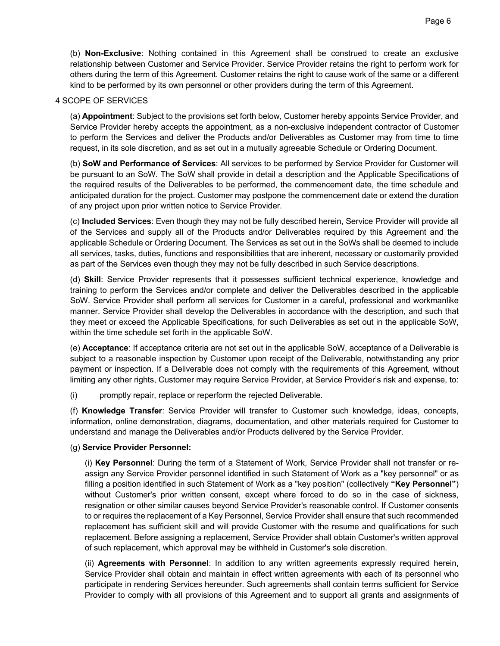(b) **Non-Exclusive**: Nothing contained in this Agreement shall be construed to create an exclusive relationship between Customer and Service Provider. Service Provider retains the right to perform work for others during the term of this Agreement. Customer retains the right to cause work of the same or a different kind to be performed by its own personnel or other providers during the term of this Agreement.

### 4 SCOPE OF SERVICES

(a) **Appointment**: Subject to the provisions set forth below, Customer hereby appoints Service Provider, and Service Provider hereby accepts the appointment, as a non-exclusive independent contractor of Customer to perform the Services and deliver the Products and/or Deliverables as Customer may from time to time request, in its sole discretion, and as set out in a mutually agreeable Schedule or Ordering Document.

(b) **SoW and Performance of Services**: All services to be performed by Service Provider for Customer will be pursuant to an SoW. The SoW shall provide in detail a description and the Applicable Specifications of the required results of the Deliverables to be performed, the commencement date, the time schedule and anticipated duration for the project. Customer may postpone the commencement date or extend the duration of any project upon prior written notice to Service Provider.

(c) **Included Services**: Even though they may not be fully described herein, Service Provider will provide all of the Services and supply all of the Products and/or Deliverables required by this Agreement and the applicable Schedule or Ordering Document. The Services as set out in the SoWs shall be deemed to include all services, tasks, duties, functions and responsibilities that are inherent, necessary or customarily provided as part of the Services even though they may not be fully described in such Service descriptions.

(d) **Skill**: Service Provider represents that it possesses sufficient technical experience, knowledge and training to perform the Services and/or complete and deliver the Deliverables described in the applicable SoW. Service Provider shall perform all services for Customer in a careful, professional and workmanlike manner. Service Provider shall develop the Deliverables in accordance with the description, and such that they meet or exceed the Applicable Specifications, for such Deliverables as set out in the applicable SoW, within the time schedule set forth in the applicable SoW.

(e) **Acceptance**: If acceptance criteria are not set out in the applicable SoW, acceptance of a Deliverable is subject to a reasonable inspection by Customer upon receipt of the Deliverable, notwithstanding any prior payment or inspection. If a Deliverable does not comply with the requirements of this Agreement, without limiting any other rights, Customer may require Service Provider, at Service Provider's risk and expense, to:

(i) promptly repair, replace or reperform the rejected Deliverable.

(f) **Knowledge Transfer**: Service Provider will transfer to Customer such knowledge, ideas, concepts, information, online demonstration, diagrams, documentation, and other materials required for Customer to understand and manage the Deliverables and/or Products delivered by the Service Provider.

#### (g) **Service Provider Personnel:**

(i) **Key Personnel**: During the term of a Statement of Work, Service Provider shall not transfer or reassign any Service Provider personnel identified in such Statement of Work as a "key personnel" or as filling a position identified in such Statement of Work as a "key position" (collectively **"Key Personnel"**) without Customer's prior written consent, except where forced to do so in the case of sickness, resignation or other similar causes beyond Service Provider's reasonable control. If Customer consents to or requires the replacement of a Key Personnel, Service Provider shall ensure that such recommended replacement has sufficient skill and will provide Customer with the resume and qualifications for such replacement. Before assigning a replacement, Service Provider shall obtain Customer's written approval of such replacement, which approval may be withheld in Customer's sole discretion.

(ii) **Agreements with Personnel**: In addition to any written agreements expressly required herein, Service Provider shall obtain and maintain in effect written agreements with each of its personnel who participate in rendering Services hereunder. Such agreements shall contain terms sufficient for Service Provider to comply with all provisions of this Agreement and to support all grants and assignments of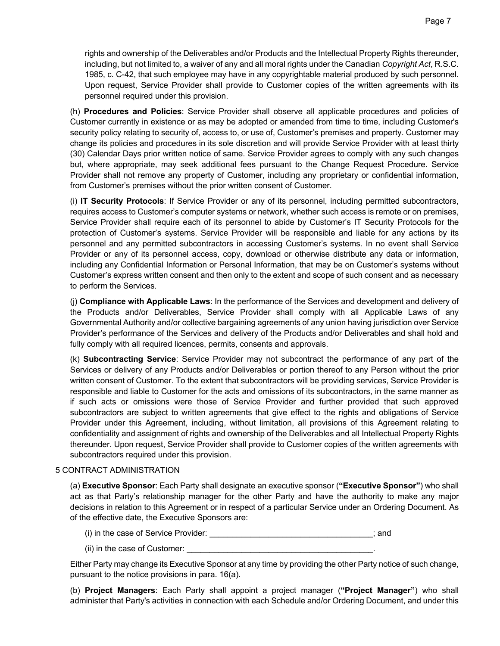rights and ownership of the Deliverables and/or Products and the Intellectual Property Rights thereunder, including, but not limited to, a waiver of any and all moral rights under the Canadian *Copyright Act*, R.S.C. 1985, c. C-42, that such employee may have in any copyrightable material produced by such personnel. Upon request, Service Provider shall provide to Customer copies of the written agreements with its personnel required under this provision.

(h) **Procedures and Policies**: Service Provider shall observe all applicable procedures and policies of Customer currently in existence or as may be adopted or amended from time to time, including Customer's security policy relating to security of, access to, or use of, Customer's premises and property. Customer may change its policies and procedures in its sole discretion and will provide Service Provider with at least thirty (30) Calendar Days prior written notice of same. Service Provider agrees to comply with any such changes but, where appropriate, may seek additional fees pursuant to the Change Request Procedure. Service Provider shall not remove any property of Customer, including any proprietary or confidential information, from Customer's premises without the prior written consent of Customer.

(i) **IT Security Protocols**: If Service Provider or any of its personnel, including permitted subcontractors, requires access to Customer's computer systems or network, whether such access is remote or on premises, Service Provider shall require each of its personnel to abide by Customer's IT Security Protocols for the protection of Customer's systems. Service Provider will be responsible and liable for any actions by its personnel and any permitted subcontractors in accessing Customer's systems. In no event shall Service Provider or any of its personnel access, copy, download or otherwise distribute any data or information, including any Confidential Information or Personal Information, that may be on Customer's systems without Customer's express written consent and then only to the extent and scope of such consent and as necessary to perform the Services.

(j) **Compliance with Applicable Laws**: In the performance of the Services and development and delivery of the Products and/or Deliverables, Service Provider shall comply with all Applicable Laws of any Governmental Authority and/or collective bargaining agreements of any union having jurisdiction over Service Provider's performance of the Services and delivery of the Products and/or Deliverables and shall hold and fully comply with all required licences, permits, consents and approvals.

(k) **Subcontracting Service**: Service Provider may not subcontract the performance of any part of the Services or delivery of any Products and/or Deliverables or portion thereof to any Person without the prior written consent of Customer. To the extent that subcontractors will be providing services, Service Provider is responsible and liable to Customer for the acts and omissions of its subcontractors, in the same manner as if such acts or omissions were those of Service Provider and further provided that such approved subcontractors are subject to written agreements that give effect to the rights and obligations of Service Provider under this Agreement, including, without limitation, all provisions of this Agreement relating to confidentiality and assignment of rights and ownership of the Deliverables and all Intellectual Property Rights thereunder. Upon request, Service Provider shall provide to Customer copies of the written agreements with subcontractors required under this provision.

#### 5 CONTRACT ADMINISTRATION

(a) **Executive Sponsor**: Each Party shall designate an executive sponsor (**"Executive Sponsor"**) who shall act as that Party's relationship manager for the other Party and have the authority to make any major decisions in relation to this Agreement or in respect of a particular Service under an Ordering Document. As of the effective date, the Executive Sponsors are:

| (i) in the case of Service Provider: |  | ⊤and |
|--------------------------------------|--|------|
|--------------------------------------|--|------|

(ii) in the case of Customer:

Either Party may change its Executive Sponsor at any time by providing the other Party notice of such change, pursuant to the notice provisions in para. 16(a).

(b) **Project Managers**: Each Party shall appoint a project manager (**"Project Manager"**) who shall administer that Party's activities in connection with each Schedule and/or Ordering Document, and under this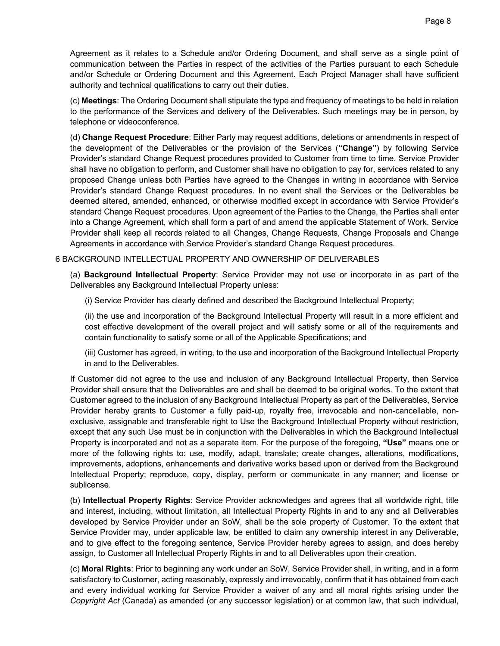Agreement as it relates to a Schedule and/or Ordering Document, and shall serve as a single point of communication between the Parties in respect of the activities of the Parties pursuant to each Schedule and/or Schedule or Ordering Document and this Agreement. Each Project Manager shall have sufficient authority and technical qualifications to carry out their duties.

(c) **Meetings**: The Ordering Document shall stipulate the type and frequency of meetings to be held in relation to the performance of the Services and delivery of the Deliverables. Such meetings may be in person, by telephone or videoconference.

(d) **Change Request Procedure**: Either Party may request additions, deletions or amendments in respect of the development of the Deliverables or the provision of the Services (**"Change"**) by following Service Provider's standard Change Request procedures provided to Customer from time to time. Service Provider shall have no obligation to perform, and Customer shall have no obligation to pay for, services related to any proposed Change unless both Parties have agreed to the Changes in writing in accordance with Service Provider's standard Change Request procedures. In no event shall the Services or the Deliverables be deemed altered, amended, enhanced, or otherwise modified except in accordance with Service Provider's standard Change Request procedures. Upon agreement of the Parties to the Change, the Parties shall enter into a Change Agreement, which shall form a part of and amend the applicable Statement of Work. Service Provider shall keep all records related to all Changes, Change Requests, Change Proposals and Change Agreements in accordance with Service Provider's standard Change Request procedures.

## 6 BACKGROUND INTELLECTUAL PROPERTY AND OWNERSHIP OF DELIVERABLES

(a) **Background Intellectual Property**: Service Provider may not use or incorporate in as part of the Deliverables any Background Intellectual Property unless:

(i) Service Provider has clearly defined and described the Background Intellectual Property;

(ii) the use and incorporation of the Background Intellectual Property will result in a more efficient and cost effective development of the overall project and will satisfy some or all of the requirements and contain functionality to satisfy some or all of the Applicable Specifications; and

(iii) Customer has agreed, in writing, to the use and incorporation of the Background Intellectual Property in and to the Deliverables.

If Customer did not agree to the use and inclusion of any Background Intellectual Property, then Service Provider shall ensure that the Deliverables are and shall be deemed to be original works. To the extent that Customer agreed to the inclusion of any Background Intellectual Property as part of the Deliverables, Service Provider hereby grants to Customer a fully paid-up, royalty free, irrevocable and non-cancellable, nonexclusive, assignable and transferable right to Use the Background Intellectual Property without restriction, except that any such Use must be in conjunction with the Deliverables in which the Background Intellectual Property is incorporated and not as a separate item. For the purpose of the foregoing, **"Use"** means one or more of the following rights to: use, modify, adapt, translate; create changes, alterations, modifications, improvements, adoptions, enhancements and derivative works based upon or derived from the Background Intellectual Property; reproduce, copy, display, perform or communicate in any manner; and license or sublicense.

(b) **Intellectual Property Rights**: Service Provider acknowledges and agrees that all worldwide right, title and interest, including, without limitation, all Intellectual Property Rights in and to any and all Deliverables developed by Service Provider under an SoW, shall be the sole property of Customer. To the extent that Service Provider may, under applicable law, be entitled to claim any ownership interest in any Deliverable, and to give effect to the foregoing sentence, Service Provider hereby agrees to assign, and does hereby assign, to Customer all Intellectual Property Rights in and to all Deliverables upon their creation.

(c) **Moral Rights**: Prior to beginning any work under an SoW, Service Provider shall, in writing, and in a form satisfactory to Customer, acting reasonably, expressly and irrevocably, confirm that it has obtained from each and every individual working for Service Provider a waiver of any and all moral rights arising under the *Copyright Act* (Canada) as amended (or any successor legislation) or at common law, that such individual,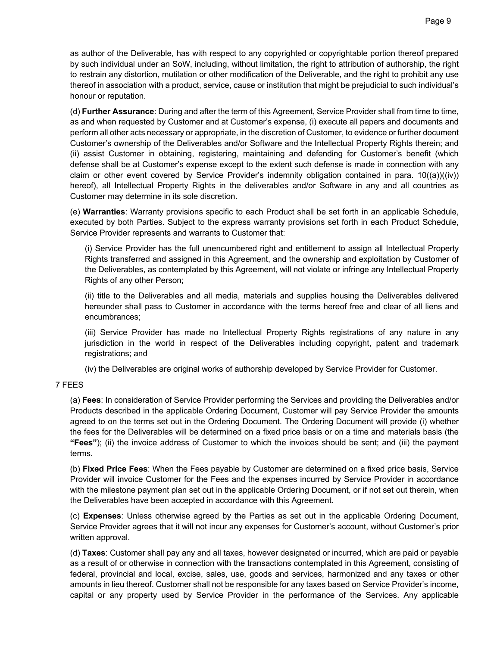as author of the Deliverable, has with respect to any copyrighted or copyrightable portion thereof prepared by such individual under an SoW, including, without limitation, the right to attribution of authorship, the right to restrain any distortion, mutilation or other modification of the Deliverable, and the right to prohibit any use thereof in association with a product, service, cause or institution that might be prejudicial to such individual's honour or reputation.

(d) **Further Assurance**: During and after the term of this Agreement, Service Provider shall from time to time, as and when requested by Customer and at Customer's expense, (i) execute all papers and documents and perform all other acts necessary or appropriate, in the discretion of Customer, to evidence or further document Customer's ownership of the Deliverables and/or Software and the Intellectual Property Rights therein; and (ii) assist Customer in obtaining, registering, maintaining and defending for Customer's benefit (which defense shall be at Customer's expense except to the extent such defense is made in connection with any claim or other event covered by Service Provider's indemnity obligation contained in para. 10((a))((iv)) hereof), all Intellectual Property Rights in the deliverables and/or Software in any and all countries as Customer may determine in its sole discretion.

(e) **Warranties**: Warranty provisions specific to each Product shall be set forth in an applicable Schedule, executed by both Parties. Subject to the express warranty provisions set forth in each Product Schedule, Service Provider represents and warrants to Customer that:

(i) Service Provider has the full unencumbered right and entitlement to assign all Intellectual Property Rights transferred and assigned in this Agreement, and the ownership and exploitation by Customer of the Deliverables, as contemplated by this Agreement, will not violate or infringe any Intellectual Property Rights of any other Person;

(ii) title to the Deliverables and all media, materials and supplies housing the Deliverables delivered hereunder shall pass to Customer in accordance with the terms hereof free and clear of all liens and encumbrances;

(iii) Service Provider has made no Intellectual Property Rights registrations of any nature in any jurisdiction in the world in respect of the Deliverables including copyright, patent and trademark registrations; and

(iv) the Deliverables are original works of authorship developed by Service Provider for Customer.

## 7 FEES

(a) **Fees**: In consideration of Service Provider performing the Services and providing the Deliverables and/or Products described in the applicable Ordering Document, Customer will pay Service Provider the amounts agreed to on the terms set out in the Ordering Document. The Ordering Document will provide (i) whether the fees for the Deliverables will be determined on a fixed price basis or on a time and materials basis (the **"Fees"**); (ii) the invoice address of Customer to which the invoices should be sent; and (iii) the payment terms.

(b) **Fixed Price Fees**: When the Fees payable by Customer are determined on a fixed price basis, Service Provider will invoice Customer for the Fees and the expenses incurred by Service Provider in accordance with the milestone payment plan set out in the applicable Ordering Document, or if not set out therein, when the Deliverables have been accepted in accordance with this Agreement.

(c) **Expenses**: Unless otherwise agreed by the Parties as set out in the applicable Ordering Document, Service Provider agrees that it will not incur any expenses for Customer's account, without Customer's prior written approval.

(d) **Taxes**: Customer shall pay any and all taxes, however designated or incurred, which are paid or payable as a result of or otherwise in connection with the transactions contemplated in this Agreement, consisting of federal, provincial and local, excise, sales, use, goods and services, harmonized and any taxes or other amounts in lieu thereof. Customer shall not be responsible for any taxes based on Service Provider's income, capital or any property used by Service Provider in the performance of the Services. Any applicable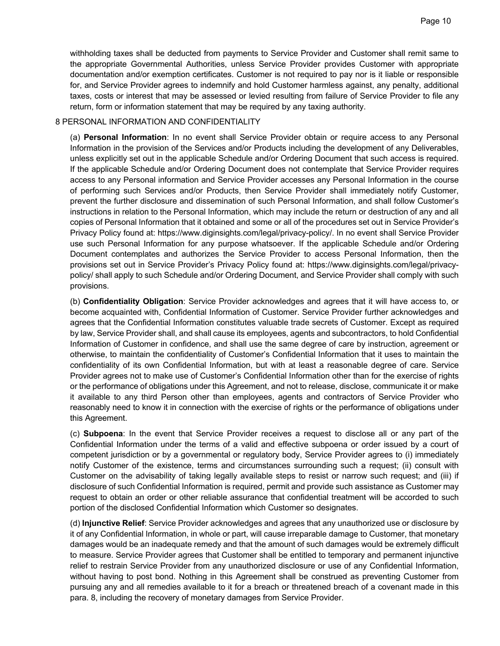withholding taxes shall be deducted from payments to Service Provider and Customer shall remit same to the appropriate Governmental Authorities, unless Service Provider provides Customer with appropriate documentation and/or exemption certificates. Customer is not required to pay nor is it liable or responsible for, and Service Provider agrees to indemnify and hold Customer harmless against, any penalty, additional taxes, costs or interest that may be assessed or levied resulting from failure of Service Provider to file any return, form or information statement that may be required by any taxing authority.

#### 8 PERSONAL INFORMATION AND CONFIDENTIALITY

(a) **Personal Information**: In no event shall Service Provider obtain or require access to any Personal Information in the provision of the Services and/or Products including the development of any Deliverables, unless explicitly set out in the applicable Schedule and/or Ordering Document that such access is required. If the applicable Schedule and/or Ordering Document does not contemplate that Service Provider requires access to any Personal information and Service Provider accesses any Personal Information in the course of performing such Services and/or Products, then Service Provider shall immediately notify Customer, prevent the further disclosure and dissemination of such Personal Information, and shall follow Customer's instructions in relation to the Personal Information, which may include the return or destruction of any and all copies of Personal Information that it obtained and some or all of the procedures set out in Service Provider's Privacy Policy found at: https://www.diginsights.com/legal/privacy-policy/. In no event shall Service Provider use such Personal Information for any purpose whatsoever. If the applicable Schedule and/or Ordering Document contemplates and authorizes the Service Provider to access Personal Information, then the provisions set out in Service Provider's Privacy Policy found at: https://www.diginsights.com/legal/privacypolicy/ shall apply to such Schedule and/or Ordering Document, and Service Provider shall comply with such provisions.

(b) **Confidentiality Obligation**: Service Provider acknowledges and agrees that it will have access to, or become acquainted with, Confidential Information of Customer. Service Provider further acknowledges and agrees that the Confidential Information constitutes valuable trade secrets of Customer. Except as required by law, Service Provider shall, and shall cause its employees, agents and subcontractors, to hold Confidential Information of Customer in confidence, and shall use the same degree of care by instruction, agreement or otherwise, to maintain the confidentiality of Customer's Confidential Information that it uses to maintain the confidentiality of its own Confidential Information, but with at least a reasonable degree of care. Service Provider agrees not to make use of Customer's Confidential Information other than for the exercise of rights or the performance of obligations under this Agreement, and not to release, disclose, communicate it or make it available to any third Person other than employees, agents and contractors of Service Provider who reasonably need to know it in connection with the exercise of rights or the performance of obligations under this Agreement.

(c) **Subpoena**: In the event that Service Provider receives a request to disclose all or any part of the Confidential Information under the terms of a valid and effective subpoena or order issued by a court of competent jurisdiction or by a governmental or regulatory body, Service Provider agrees to (i) immediately notify Customer of the existence, terms and circumstances surrounding such a request; (ii) consult with Customer on the advisability of taking legally available steps to resist or narrow such request; and (iii) if disclosure of such Confidential Information is required, permit and provide such assistance as Customer may request to obtain an order or other reliable assurance that confidential treatment will be accorded to such portion of the disclosed Confidential Information which Customer so designates.

(d) **Injunctive Relief**: Service Provider acknowledges and agrees that any unauthorized use or disclosure by it of any Confidential Information, in whole or part, will cause irreparable damage to Customer, that monetary damages would be an inadequate remedy and that the amount of such damages would be extremely difficult to measure. Service Provider agrees that Customer shall be entitled to temporary and permanent injunctive relief to restrain Service Provider from any unauthorized disclosure or use of any Confidential Information, without having to post bond. Nothing in this Agreement shall be construed as preventing Customer from pursuing any and all remedies available to it for a breach or threatened breach of a covenant made in this para. 8, including the recovery of monetary damages from Service Provider.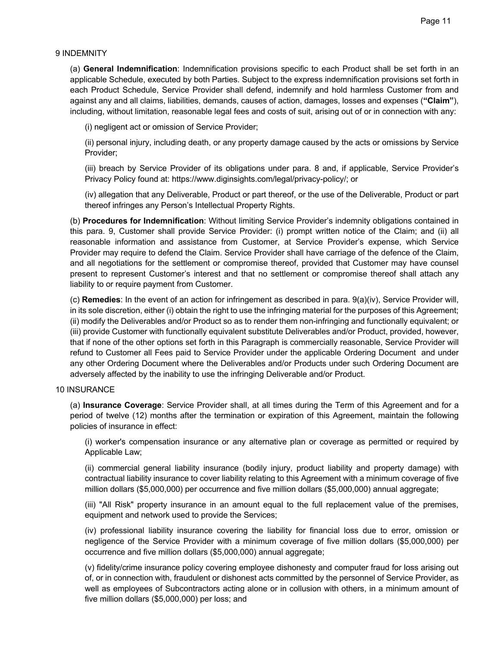#### 9 INDEMNITY

(a) **General Indemnification**: Indemnification provisions specific to each Product shall be set forth in an applicable Schedule, executed by both Parties. Subject to the express indemnification provisions set forth in each Product Schedule, Service Provider shall defend, indemnify and hold harmless Customer from and against any and all claims, liabilities, demands, causes of action, damages, losses and expenses (**"Claim"**), including, without limitation, reasonable legal fees and costs of suit, arising out of or in connection with any:

(i) negligent act or omission of Service Provider;

(ii) personal injury, including death, or any property damage caused by the acts or omissions by Service Provider;

(iii) breach by Service Provider of its obligations under para. 8 and, if applicable, Service Provider's Privacy Policy found at: https://www.diginsights.com/legal/privacy-policy/; or

(iv) allegation that any Deliverable, Product or part thereof, or the use of the Deliverable, Product or part thereof infringes any Person's Intellectual Property Rights.

(b) **Procedures for Indemnification**: Without limiting Service Provider's indemnity obligations contained in this para. 9, Customer shall provide Service Provider: (i) prompt written notice of the Claim; and (ii) all reasonable information and assistance from Customer, at Service Provider's expense, which Service Provider may require to defend the Claim. Service Provider shall have carriage of the defence of the Claim, and all negotiations for the settlement or compromise thereof, provided that Customer may have counsel present to represent Customer's interest and that no settlement or compromise thereof shall attach any liability to or require payment from Customer.

(c) **Remedies**: In the event of an action for infringement as described in para. 9(a)(iv), Service Provider will, in its sole discretion, either (i) obtain the right to use the infringing material for the purposes of this Agreement; (ii) modify the Deliverables and/or Product so as to render them non-infringing and functionally equivalent; or (iii) provide Customer with functionally equivalent substitute Deliverables and/or Product, provided, however, that if none of the other options set forth in this Paragraph is commercially reasonable, Service Provider will refund to Customer all Fees paid to Service Provider under the applicable Ordering Document and under any other Ordering Document where the Deliverables and/or Products under such Ordering Document are adversely affected by the inability to use the infringing Deliverable and/or Product.

#### 10 INSURANCE

(a) **Insurance Coverage**: Service Provider shall, at all times during the Term of this Agreement and for a period of twelve (12) months after the termination or expiration of this Agreement, maintain the following policies of insurance in effect:

(i) worker's compensation insurance or any alternative plan or coverage as permitted or required by Applicable Law;

(ii) commercial general liability insurance (bodily injury, product liability and property damage) with contractual liability insurance to cover liability relating to this Agreement with a minimum coverage of five million dollars (\$5,000,000) per occurrence and five million dollars (\$5,000,000) annual aggregate;

(iii) "All Risk" property insurance in an amount equal to the full replacement value of the premises, equipment and network used to provide the Services;

(iv) professional liability insurance covering the liability for financial loss due to error, omission or negligence of the Service Provider with a minimum coverage of five million dollars (\$5,000,000) per occurrence and five million dollars (\$5,000,000) annual aggregate;

(v) fidelity/crime insurance policy covering employee dishonesty and computer fraud for loss arising out of, or in connection with, fraudulent or dishonest acts committed by the personnel of Service Provider, as well as employees of Subcontractors acting alone or in collusion with others, in a minimum amount of five million dollars (\$5,000,000) per loss; and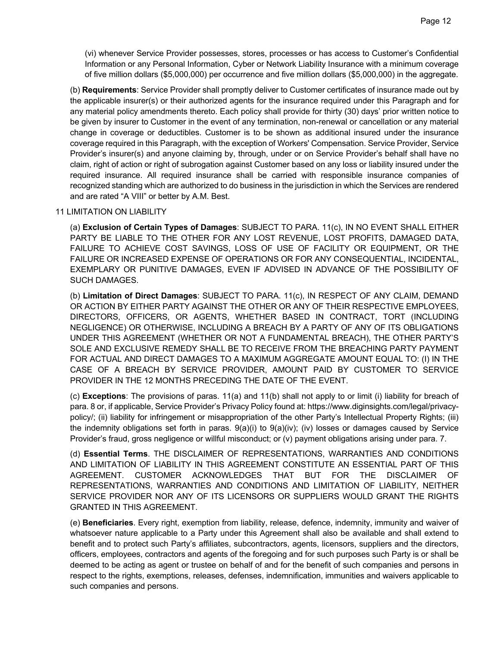(vi) whenever Service Provider possesses, stores, processes or has access to Customer's Confidential Information or any Personal Information, Cyber or Network Liability Insurance with a minimum coverage of five million dollars (\$5,000,000) per occurrence and five million dollars (\$5,000,000) in the aggregate.

(b) **Requirements**: Service Provider shall promptly deliver to Customer certificates of insurance made out by the applicable insurer(s) or their authorized agents for the insurance required under this Paragraph and for any material policy amendments thereto. Each policy shall provide for thirty (30) days' prior written notice to be given by insurer to Customer in the event of any termination, non-renewal or cancellation or any material change in coverage or deductibles. Customer is to be shown as additional insured under the insurance coverage required in this Paragraph, with the exception of Workers' Compensation. Service Provider, Service Provider's insurer(s) and anyone claiming by, through, under or on Service Provider's behalf shall have no claim, right of action or right of subrogation against Customer based on any loss or liability insured under the required insurance. All required insurance shall be carried with responsible insurance companies of recognized standing which are authorized to do business in the jurisdiction in which the Services are rendered and are rated "A VIII" or better by A.M. Best.

#### 11 LIMITATION ON LIABILITY

(a) **Exclusion of Certain Types of Damages**: SUBJECT TO PARA. 11(c), IN NO EVENT SHALL EITHER PARTY BE LIABLE TO THE OTHER FOR ANY LOST REVENUE, LOST PROFITS, DAMAGED DATA, FAILURE TO ACHIEVE COST SAVINGS, LOSS OF USE OF FACILITY OR EQUIPMENT, OR THE FAILURE OR INCREASED EXPENSE OF OPERATIONS OR FOR ANY CONSEQUENTIAL, INCIDENTAL, EXEMPLARY OR PUNITIVE DAMAGES, EVEN IF ADVISED IN ADVANCE OF THE POSSIBILITY OF SUCH DAMAGES.

(b) **Limitation of Direct Damages**: SUBJECT TO PARA. 11(c), IN RESPECT OF ANY CLAIM, DEMAND OR ACTION BY EITHER PARTY AGAINST THE OTHER OR ANY OF THEIR RESPECTIVE EMPLOYEES, DIRECTORS, OFFICERS, OR AGENTS, WHETHER BASED IN CONTRACT, TORT (INCLUDING NEGLIGENCE) OR OTHERWISE, INCLUDING A BREACH BY A PARTY OF ANY OF ITS OBLIGATIONS UNDER THIS AGREEMENT (WHETHER OR NOT A FUNDAMENTAL BREACH), THE OTHER PARTY'S SOLE AND EXCLUSIVE REMEDY SHALL BE TO RECEIVE FROM THE BREACHING PARTY PAYMENT FOR ACTUAL AND DIRECT DAMAGES TO A MAXIMUM AGGREGATE AMOUNT EQUAL TO: (I) IN THE CASE OF A BREACH BY SERVICE PROVIDER, AMOUNT PAID BY CUSTOMER TO SERVICE PROVIDER IN THE 12 MONTHS PRECEDING THE DATE OF THE EVENT.

(c) **Exceptions**: The provisions of paras. 11(a) and 11(b) shall not apply to or limit (i) liability for breach of para. 8 or, if applicable, Service Provider's Privacy Policy found at: https://www.diginsights.com/legal/privacypolicy/; (ii) liability for infringement or misappropriation of the other Party's Intellectual Property Rights; (iii) the indemnity obligations set forth in paras.  $9(a)(i)$  to  $9(a)(iv)$ ; (iv) losses or damages caused by Service Provider's fraud, gross negligence or willful misconduct; or (v) payment obligations arising under para. 7.

(d) **Essential Terms**. THE DISCLAIMER OF REPRESENTATIONS, WARRANTIES AND CONDITIONS AND LIMITATION OF LIABILITY IN THIS AGREEMENT CONSTITUTE AN ESSENTIAL PART OF THIS AGREEMENT. CUSTOMER ACKNOWLEDGES THAT BUT FOR THE DISCLAIMER OF REPRESENTATIONS, WARRANTIES AND CONDITIONS AND LIMITATION OF LIABILITY, NEITHER SERVICE PROVIDER NOR ANY OF ITS LICENSORS OR SUPPLIERS WOULD GRANT THE RIGHTS GRANTED IN THIS AGREEMENT.

(e) **Beneficiaries**. Every right, exemption from liability, release, defence, indemnity, immunity and waiver of whatsoever nature applicable to a Party under this Agreement shall also be available and shall extend to benefit and to protect such Party's affiliates, subcontractors, agents, licensors, suppliers and the directors, officers, employees, contractors and agents of the foregoing and for such purposes such Party is or shall be deemed to be acting as agent or trustee on behalf of and for the benefit of such companies and persons in respect to the rights, exemptions, releases, defenses, indemnification, immunities and waivers applicable to such companies and persons.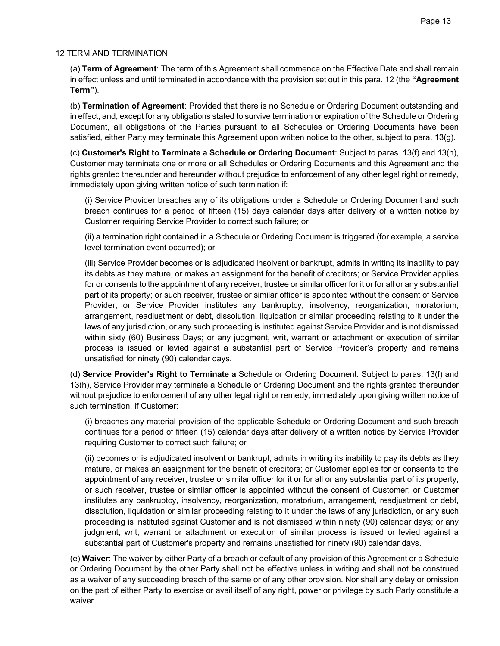## 12 TERM AND TERMINATION

(a) **Term of Agreement**: The term of this Agreement shall commence on the Effective Date and shall remain in effect unless and until terminated in accordance with the provision set out in this para. 12 (the **"Agreement Term"**).

(b) **Termination of Agreement**: Provided that there is no Schedule or Ordering Document outstanding and in effect, and, except for any obligations stated to survive termination or expiration of the Schedule or Ordering Document, all obligations of the Parties pursuant to all Schedules or Ordering Documents have been satisfied, either Party may terminate this Agreement upon written notice to the other, subject to para. 13(g).

(c) **Customer's Right to Terminate a Schedule or Ordering Document**: Subject to paras. 13(f) and 13(h), Customer may terminate one or more or all Schedules or Ordering Documents and this Agreement and the rights granted thereunder and hereunder without prejudice to enforcement of any other legal right or remedy, immediately upon giving written notice of such termination if:

(i) Service Provider breaches any of its obligations under a Schedule or Ordering Document and such breach continues for a period of fifteen (15) days calendar days after delivery of a written notice by Customer requiring Service Provider to correct such failure; or

(ii) a termination right contained in a Schedule or Ordering Document is triggered (for example, a service level termination event occurred); or

(iii) Service Provider becomes or is adjudicated insolvent or bankrupt, admits in writing its inability to pay its debts as they mature, or makes an assignment for the benefit of creditors; or Service Provider applies for or consents to the appointment of any receiver, trustee or similar officer for it or for all or any substantial part of its property; or such receiver, trustee or similar officer is appointed without the consent of Service Provider; or Service Provider institutes any bankruptcy, insolvency, reorganization, moratorium, arrangement, readjustment or debt, dissolution, liquidation or similar proceeding relating to it under the laws of any jurisdiction, or any such proceeding is instituted against Service Provider and is not dismissed within sixty (60) Business Days; or any judgment, writ, warrant or attachment or execution of similar process is issued or levied against a substantial part of Service Provider's property and remains unsatisfied for ninety (90) calendar days.

(d) **Service Provider's Right to Terminate a** Schedule or Ordering Document: Subject to paras. 13(f) and 13(h), Service Provider may terminate a Schedule or Ordering Document and the rights granted thereunder without prejudice to enforcement of any other legal right or remedy, immediately upon giving written notice of such termination, if Customer:

(i) breaches any material provision of the applicable Schedule or Ordering Document and such breach continues for a period of fifteen (15) calendar days after delivery of a written notice by Service Provider requiring Customer to correct such failure; or

(ii) becomes or is adjudicated insolvent or bankrupt, admits in writing its inability to pay its debts as they mature, or makes an assignment for the benefit of creditors; or Customer applies for or consents to the appointment of any receiver, trustee or similar officer for it or for all or any substantial part of its property; or such receiver, trustee or similar officer is appointed without the consent of Customer; or Customer institutes any bankruptcy, insolvency, reorganization, moratorium, arrangement, readjustment or debt, dissolution, liquidation or similar proceeding relating to it under the laws of any jurisdiction, or any such proceeding is instituted against Customer and is not dismissed within ninety (90) calendar days; or any judgment, writ, warrant or attachment or execution of similar process is issued or levied against a substantial part of Customer's property and remains unsatisfied for ninety (90) calendar days.

(e) **Waiver**: The waiver by either Party of a breach or default of any provision of this Agreement or a Schedule or Ordering Document by the other Party shall not be effective unless in writing and shall not be construed as a waiver of any succeeding breach of the same or of any other provision. Nor shall any delay or omission on the part of either Party to exercise or avail itself of any right, power or privilege by such Party constitute a waiver.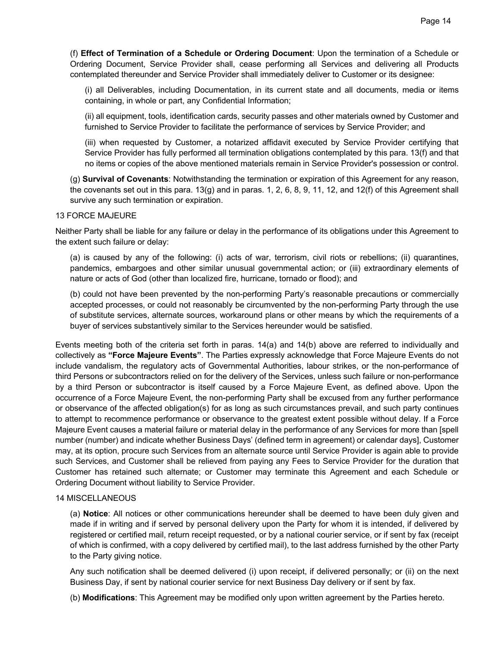(f) **Effect of Termination of a Schedule or Ordering Document**: Upon the termination of a Schedule or Ordering Document, Service Provider shall, cease performing all Services and delivering all Products contemplated thereunder and Service Provider shall immediately deliver to Customer or its designee:

(i) all Deliverables, including Documentation, in its current state and all documents, media or items containing, in whole or part, any Confidential Information;

(ii) all equipment, tools, identification cards, security passes and other materials owned by Customer and furnished to Service Provider to facilitate the performance of services by Service Provider; and

(iii) when requested by Customer, a notarized affidavit executed by Service Provider certifying that Service Provider has fully performed all termination obligations contemplated by this para. 13(f) and that no items or copies of the above mentioned materials remain in Service Provider's possession or control.

(g) **Survival of Covenants**: Notwithstanding the termination or expiration of this Agreement for any reason, the covenants set out in this para. 13(g) and in paras. 1, 2, 6, 8, 9, 11, 12, and 12(f) of this Agreement shall survive any such termination or expiration.

#### 13 FORCE MAJEURE

Neither Party shall be liable for any failure or delay in the performance of its obligations under this Agreement to the extent such failure or delay:

(a) is caused by any of the following: (i) acts of war, terrorism, civil riots or rebellions; (ii) quarantines, pandemics, embargoes and other similar unusual governmental action; or (iii) extraordinary elements of nature or acts of God (other than localized fire, hurricane, tornado or flood); and

(b) could not have been prevented by the non-performing Party's reasonable precautions or commercially accepted processes, or could not reasonably be circumvented by the non-performing Party through the use of substitute services, alternate sources, workaround plans or other means by which the requirements of a buyer of services substantively similar to the Services hereunder would be satisfied.

Events meeting both of the criteria set forth in paras. 14(a) and 14(b) above are referred to individually and collectively as **"Force Majeure Events"**. The Parties expressly acknowledge that Force Majeure Events do not include vandalism, the regulatory acts of Governmental Authorities, labour strikes, or the non-performance of third Persons or subcontractors relied on for the delivery of the Services, unless such failure or non-performance by a third Person or subcontractor is itself caused by a Force Majeure Event, as defined above. Upon the occurrence of a Force Majeure Event, the non-performing Party shall be excused from any further performance or observance of the affected obligation(s) for as long as such circumstances prevail, and such party continues to attempt to recommence performance or observance to the greatest extent possible without delay. If a Force Majeure Event causes a material failure or material delay in the performance of any Services for more than [spell number (number) and indicate whether Business Days' (defined term in agreement) or calendar days], Customer may, at its option, procure such Services from an alternate source until Service Provider is again able to provide such Services, and Customer shall be relieved from paying any Fees to Service Provider for the duration that Customer has retained such alternate; or Customer may terminate this Agreement and each Schedule or Ordering Document without liability to Service Provider.

## 14 MISCELLANEOUS

(a) **Notice**: All notices or other communications hereunder shall be deemed to have been duly given and made if in writing and if served by personal delivery upon the Party for whom it is intended, if delivered by registered or certified mail, return receipt requested, or by a national courier service, or if sent by fax (receipt of which is confirmed, with a copy delivered by certified mail), to the last address furnished by the other Party to the Party giving notice.

Any such notification shall be deemed delivered (i) upon receipt, if delivered personally; or (ii) on the next Business Day, if sent by national courier service for next Business Day delivery or if sent by fax.

(b) **Modifications**: This Agreement may be modified only upon written agreement by the Parties hereto.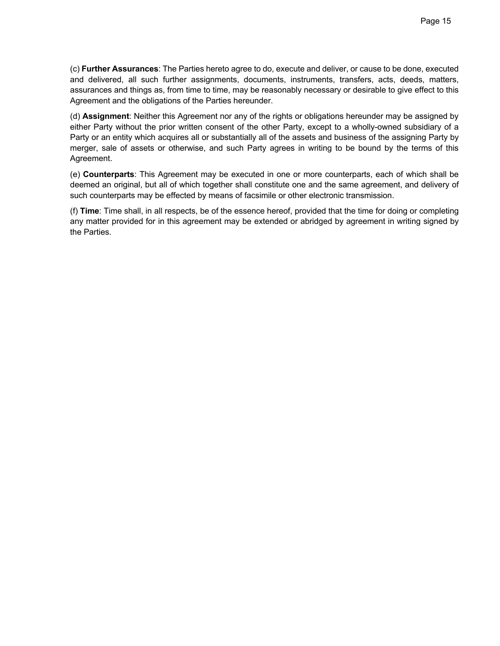(c) **Further Assurances**: The Parties hereto agree to do, execute and deliver, or cause to be done, executed and delivered, all such further assignments, documents, instruments, transfers, acts, deeds, matters, assurances and things as, from time to time, may be reasonably necessary or desirable to give effect to this Agreement and the obligations of the Parties hereunder.

(d) **Assignment**: Neither this Agreement nor any of the rights or obligations hereunder may be assigned by either Party without the prior written consent of the other Party, except to a wholly-owned subsidiary of a Party or an entity which acquires all or substantially all of the assets and business of the assigning Party by merger, sale of assets or otherwise, and such Party agrees in writing to be bound by the terms of this Agreement.

(e) **Counterparts**: This Agreement may be executed in one or more counterparts, each of which shall be deemed an original, but all of which together shall constitute one and the same agreement, and delivery of such counterparts may be effected by means of facsimile or other electronic transmission.

(f) **Time**: Time shall, in all respects, be of the essence hereof, provided that the time for doing or completing any matter provided for in this agreement may be extended or abridged by agreement in writing signed by the Parties.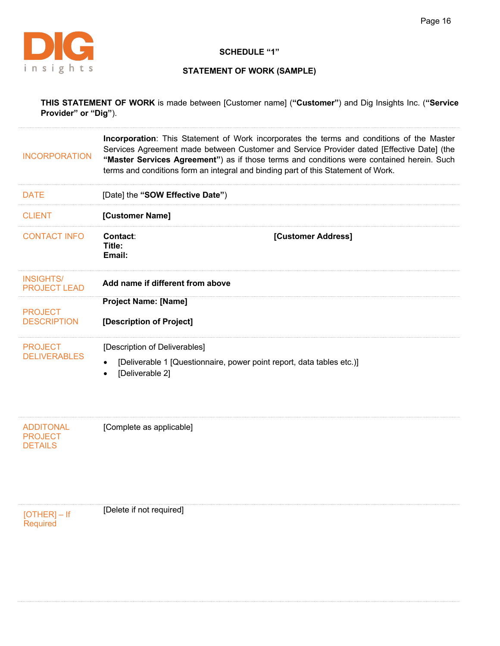

## **SCHEDULE "1"**

## **STATEMENT OF WORK (SAMPLE)**

| <b>THIS STATEMENT OF WORK</b> is made between [Customer name] ("Customer") and Dig Insights Inc. ("Service<br>Provider" or "Dig"). |                                                                                                                                                                                                                                                                                                                                                                          |  |
|------------------------------------------------------------------------------------------------------------------------------------|--------------------------------------------------------------------------------------------------------------------------------------------------------------------------------------------------------------------------------------------------------------------------------------------------------------------------------------------------------------------------|--|
| <b>INCORPORATION</b>                                                                                                               | Incorporation: This Statement of Work incorporates the terms and conditions of the Master<br>Services Agreement made between Customer and Service Provider dated [Effective Date] (the<br>"Master Services Agreement") as if those terms and conditions were contained herein. Such<br>terms and conditions form an integral and binding part of this Statement of Work. |  |
| <b>DATE</b>                                                                                                                        | [Date] the "SOW Effective Date")                                                                                                                                                                                                                                                                                                                                         |  |
| <b>CLIENT</b>                                                                                                                      | [Customer Name]                                                                                                                                                                                                                                                                                                                                                          |  |
| <b>CONTACT INFO</b>                                                                                                                | Contact:<br>[Customer Address]<br>Title:<br>Email:                                                                                                                                                                                                                                                                                                                       |  |
| <b>INSIGHTS/</b><br><b>PROJECT LEAD</b>                                                                                            | Add name if different from above                                                                                                                                                                                                                                                                                                                                         |  |
| <b>PROJECT</b><br><b>DESCRIPTION</b>                                                                                               | <b>Project Name: [Name]</b><br>[Description of Project]                                                                                                                                                                                                                                                                                                                  |  |
| <b>PROJECT</b><br><b>DELIVERABLES</b>                                                                                              | [Description of Deliverables]<br>[Deliverable 1 [Questionnaire, power point report, data tables etc.)]<br>[Deliverable 2]                                                                                                                                                                                                                                                |  |

ADDITONAL PROJECT DETAILS [Complete as applicable]

[Delete if not required] [OTHER] – If Required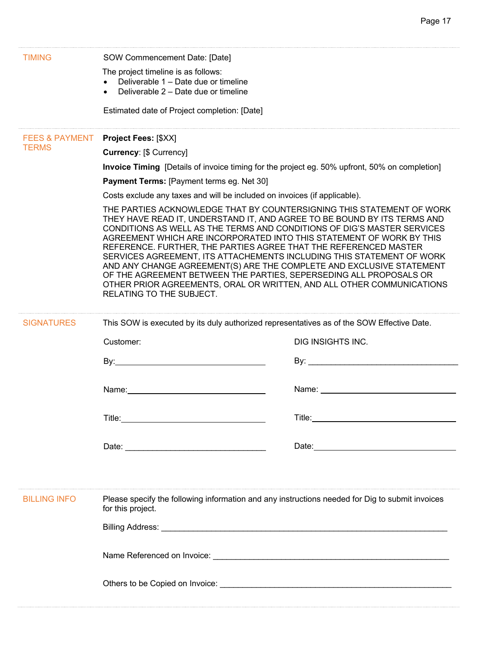| <b>TIMING</b>             | SOW Commencement Date: [Date]                                                                                                                                                                                                                                                                                                                                                                                                                                                                                                                                                                                                                                                                        |                                                                                                                                                                                                                                |  |
|---------------------------|------------------------------------------------------------------------------------------------------------------------------------------------------------------------------------------------------------------------------------------------------------------------------------------------------------------------------------------------------------------------------------------------------------------------------------------------------------------------------------------------------------------------------------------------------------------------------------------------------------------------------------------------------------------------------------------------------|--------------------------------------------------------------------------------------------------------------------------------------------------------------------------------------------------------------------------------|--|
|                           | The project timeline is as follows:                                                                                                                                                                                                                                                                                                                                                                                                                                                                                                                                                                                                                                                                  |                                                                                                                                                                                                                                |  |
|                           | Deliverable 1 - Date due or timeline                                                                                                                                                                                                                                                                                                                                                                                                                                                                                                                                                                                                                                                                 |                                                                                                                                                                                                                                |  |
|                           | Deliverable 2 - Date due or timeline                                                                                                                                                                                                                                                                                                                                                                                                                                                                                                                                                                                                                                                                 |                                                                                                                                                                                                                                |  |
|                           | Estimated date of Project completion: [Date]                                                                                                                                                                                                                                                                                                                                                                                                                                                                                                                                                                                                                                                         |                                                                                                                                                                                                                                |  |
| <b>FEES &amp; PAYMENT</b> | Project Fees: [\$XX]                                                                                                                                                                                                                                                                                                                                                                                                                                                                                                                                                                                                                                                                                 |                                                                                                                                                                                                                                |  |
| <b>TERMS</b>              | <b>Currency: [\$ Currency]</b>                                                                                                                                                                                                                                                                                                                                                                                                                                                                                                                                                                                                                                                                       |                                                                                                                                                                                                                                |  |
|                           | <b>Invoice Timing</b> [Details of invoice timing for the project eg. 50% upfront, 50% on completion]                                                                                                                                                                                                                                                                                                                                                                                                                                                                                                                                                                                                 |                                                                                                                                                                                                                                |  |
|                           | Payment Terms: [Payment terms eg. Net 30]                                                                                                                                                                                                                                                                                                                                                                                                                                                                                                                                                                                                                                                            |                                                                                                                                                                                                                                |  |
|                           | Costs exclude any taxes and will be included on invoices (if applicable).                                                                                                                                                                                                                                                                                                                                                                                                                                                                                                                                                                                                                            |                                                                                                                                                                                                                                |  |
|                           | THE PARTIES ACKNOWLEDGE THAT BY COUNTERSIGNING THIS STATEMENT OF WORK<br>THEY HAVE READ IT, UNDERSTAND IT, AND AGREE TO BE BOUND BY ITS TERMS AND<br>CONDITIONS AS WELL AS THE TERMS AND CONDITIONS OF DIG'S MASTER SERVICES<br>AGREEMENT WHICH ARE INCORPORATED INTO THIS STATEMENT OF WORK BY THIS<br>REFERENCE. FURTHER, THE PARTIES AGREE THAT THE REFERENCED MASTER<br>SERVICES AGREEMENT, ITS ATTACHEMENTS INCLUDING THIS STATEMENT OF WORK<br>AND ANY CHANGE AGREEMENT(S) ARE THE COMPLETE AND EXCLUSIVE STATEMENT<br>OF THE AGREEMENT BETWEEN THE PARTIES, SEPERSEDING ALL PROPOSALS OR<br>OTHER PRIOR AGREEMENTS, ORAL OR WRITTEN, AND ALL OTHER COMMUNICATIONS<br>RELATING TO THE SUBJECT. |                                                                                                                                                                                                                                |  |
| <b>SIGNATURES</b>         | This SOW is executed by its duly authorized representatives as of the SOW Effective Date.                                                                                                                                                                                                                                                                                                                                                                                                                                                                                                                                                                                                            |                                                                                                                                                                                                                                |  |
|                           | Customer:                                                                                                                                                                                                                                                                                                                                                                                                                                                                                                                                                                                                                                                                                            | DIG INSIGHTS INC.                                                                                                                                                                                                              |  |
|                           |                                                                                                                                                                                                                                                                                                                                                                                                                                                                                                                                                                                                                                                                                                      | By: the contract of the contract of the contract of the contract of the contract of the contract of the contract of the contract of the contract of the contract of the contract of the contract of the contract of the contra |  |
|                           | Name: We have a state of the state of the state of the state of the state of the state of the state of the state of the state of the state of the state of the state of the state of the state of the state of the state of th                                                                                                                                                                                                                                                                                                                                                                                                                                                                       | Name: We have a state of the state of the state of the state of the state of the state of the state of the state of the state of the state of the state of the state of the state of the state of the state of the state of th |  |
|                           |                                                                                                                                                                                                                                                                                                                                                                                                                                                                                                                                                                                                                                                                                                      |                                                                                                                                                                                                                                |  |
|                           |                                                                                                                                                                                                                                                                                                                                                                                                                                                                                                                                                                                                                                                                                                      |                                                                                                                                                                                                                                |  |
| <b>BILLING INFO</b>       | Please specify the following information and any instructions needed for Dig to submit invoices<br>for this project.                                                                                                                                                                                                                                                                                                                                                                                                                                                                                                                                                                                 |                                                                                                                                                                                                                                |  |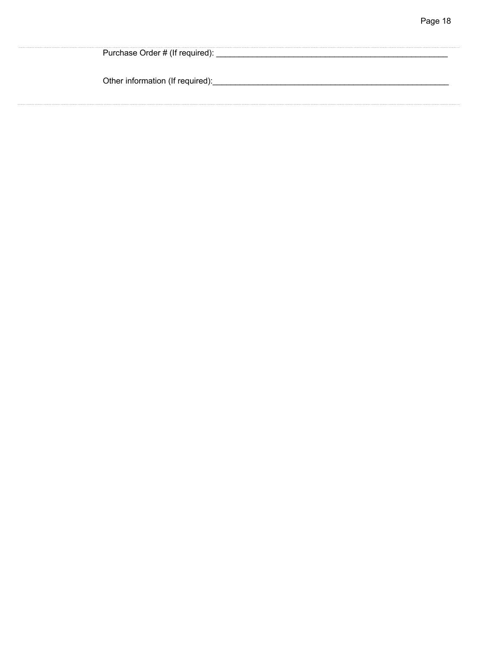| Purchase Order # (If required):  |  |
|----------------------------------|--|
| Other information (If required): |  |
|                                  |  |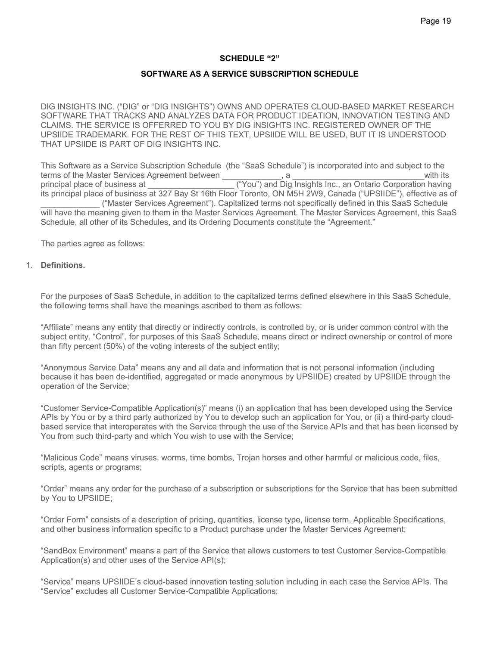### **SCHEDULE "2"**

#### **SOFTWARE AS A SERVICE SUBSCRIPTION SCHEDULE**

DIG INSIGHTS INC. ("DIG" or "DIG INSIGHTS") OWNS AND OPERATES CLOUD-BASED MARKET RESEARCH SOFTWARE THAT TRACKS AND ANALYZES DATA FOR PRODUCT IDEATION, INNOVATION TESTING AND CLAIMS. THE SERVICE IS OFFERRED TO YOU BY DIG INSIGHTS INC. REGISTERED OWNER OF THE UPSIIDE TRADEMARK. FOR THE REST OF THIS TEXT, UPSIIDE WILL BE USED, BUT IT IS UNDERSTOOD THAT UPSIIDE IS PART OF DIG INSIGHTS INC.

This Software as a Service Subscription Schedule (the "SaaS Schedule") is incorporated into and subject to the terms of the Master Services Agreement between \_\_\_\_\_\_\_\_\_\_\_\_\_, a \_\_\_\_\_\_\_\_\_\_\_\_\_\_\_\_\_\_\_\_\_\_\_\_\_\_\_\_\_with its principal place of business at  $\overline{(\text{``You''})}$  and Dig Insights Inc., an Ontario Corporation having its principal place of business at 327 Bay St 16th Floor Toronto, ON M5H 2W9, Canada ("UPSIIDE"), effective as of \_\_\_\_\_\_\_\_\_\_\_\_\_ ("Master Services Agreement"). Capitalized terms not specifically defined in this SaaS Schedule will have the meaning given to them in the Master Services Agreement. The Master Services Agreement, this SaaS Schedule, all other of its Schedules, and its Ordering Documents constitute the "Agreement."

The parties agree as follows:

#### 1. **Definitions.**

For the purposes of SaaS Schedule, in addition to the capitalized terms defined elsewhere in this SaaS Schedule, the following terms shall have the meanings ascribed to them as follows:

"Affiliate" means any entity that directly or indirectly controls, is controlled by, or is under common control with the subject entity. "Control", for purposes of this SaaS Schedule, means direct or indirect ownership or control of more than fifty percent (50%) of the voting interests of the subject entity;

"Anonymous Service Data" means any and all data and information that is not personal information (including because it has been de-identified, aggregated or made anonymous by UPSIIDE) created by UPSIIDE through the operation of the Service;

"Customer Service-Compatible Application(s)" means (i) an application that has been developed using the Service APIs by You or by a third party authorized by You to develop such an application for You, or (ii) a third-party cloudbased service that interoperates with the Service through the use of the Service APIs and that has been licensed by You from such third-party and which You wish to use with the Service;

"Malicious Code" means viruses, worms, time bombs, Trojan horses and other harmful or malicious code, files, scripts, agents or programs;

"Order" means any order for the purchase of a subscription or subscriptions for the Service that has been submitted by You to UPSIIDE;

"Order Form" consists of a description of pricing, quantities, license type, license term, Applicable Specifications, and other business information specific to a Product purchase under the Master Services Agreement;

"SandBox Environment" means a part of the Service that allows customers to test Customer Service-Compatible Application(s) and other uses of the Service API(s);

"Service" means UPSIIDE's cloud-based innovation testing solution including in each case the Service APIs. The "Service" excludes all Customer Service-Compatible Applications;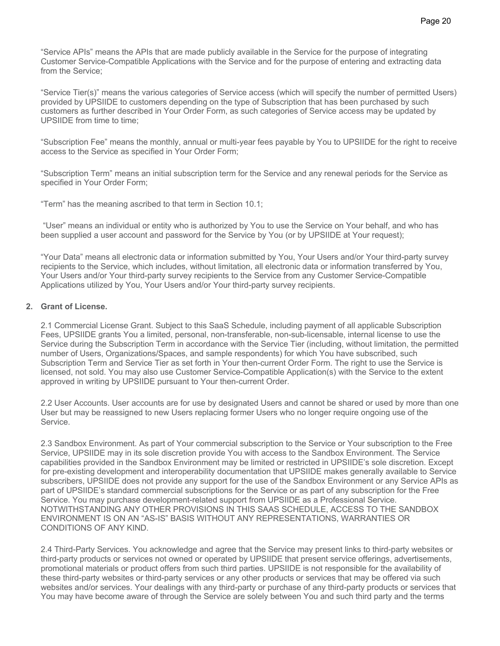"Service Tier(s)" means the various categories of Service access (which will specify the number of permitted Users) provided by UPSIIDE to customers depending on the type of Subscription that has been purchased by such customers as further described in Your Order Form, as such categories of Service access may be updated by UPSIIDE from time to time;

"Subscription Fee" means the monthly, annual or multi-year fees payable by You to UPSIIDE for the right to receive access to the Service as specified in Your Order Form;

"Subscription Term" means an initial subscription term for the Service and any renewal periods for the Service as specified in Your Order Form;

"Term" has the meaning ascribed to that term in Section 10.1;

"User" means an individual or entity who is authorized by You to use the Service on Your behalf, and who has been supplied a user account and password for the Service by You (or by UPSIIDE at Your request);

"Your Data" means all electronic data or information submitted by You, Your Users and/or Your third-party survey recipients to the Service, which includes, without limitation, all electronic data or information transferred by You, Your Users and/or Your third-party survey recipients to the Service from any Customer Service-Compatible Applications utilized by You, Your Users and/or Your third-party survey recipients.

#### **2. Grant of License.**

2.1 Commercial License Grant. Subject to this SaaS Schedule, including payment of all applicable Subscription Fees, UPSIIDE grants You a limited, personal, non-transferable, non-sub-licensable, internal license to use the Service during the Subscription Term in accordance with the Service Tier (including, without limitation, the permitted number of Users, Organizations/Spaces, and sample respondents) for which You have subscribed, such Subscription Term and Service Tier as set forth in Your then-current Order Form. The right to use the Service is licensed, not sold. You may also use Customer Service-Compatible Application(s) with the Service to the extent approved in writing by UPSIIDE pursuant to Your then-current Order.

2.2 User Accounts. User accounts are for use by designated Users and cannot be shared or used by more than one User but may be reassigned to new Users replacing former Users who no longer require ongoing use of the Service.

2.3 Sandbox Environment. As part of Your commercial subscription to the Service or Your subscription to the Free Service, UPSIIDE may in its sole discretion provide You with access to the Sandbox Environment. The Service capabilities provided in the Sandbox Environment may be limited or restricted in UPSIIDE's sole discretion. Except for pre-existing development and interoperability documentation that UPSIIDE makes generally available to Service subscribers, UPSIIDE does not provide any support for the use of the Sandbox Environment or any Service APIs as part of UPSIIDE's standard commercial subscriptions for the Service or as part of any subscription for the Free Service. You may purchase development-related support from UPSIIDE as a Professional Service. NOTWITHSTANDING ANY OTHER PROVISIONS IN THIS SAAS SCHEDULE, ACCESS TO THE SANDBOX ENVIRONMENT IS ON AN "AS-IS" BASIS WITHOUT ANY REPRESENTATIONS, WARRANTIES OR CONDITIONS OF ANY KIND.

2.4 Third-Party Services. You acknowledge and agree that the Service may present links to third-party websites or third-party products or services not owned or operated by UPSIIDE that present service offerings, advertisements, promotional materials or product offers from such third parties. UPSIIDE is not responsible for the availability of these third-party websites or third-party services or any other products or services that may be offered via such websites and/or services. Your dealings with any third-party or purchase of any third-party products or services that You may have become aware of through the Service are solely between You and such third party and the terms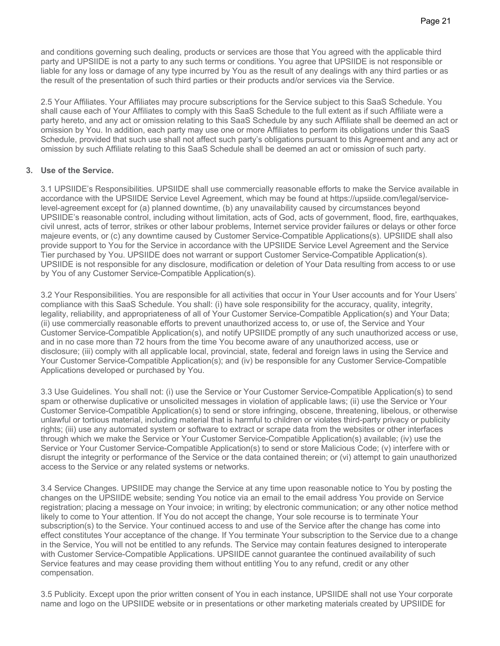and conditions governing such dealing, products or services are those that You agreed with the applicable third party and UPSIIDE is not a party to any such terms or conditions. You agree that UPSIIDE is not responsible or liable for any loss or damage of any type incurred by You as the result of any dealings with any third parties or as the result of the presentation of such third parties or their products and/or services via the Service.

2.5 Your Affiliates. Your Affiliates may procure subscriptions for the Service subject to this SaaS Schedule. You shall cause each of Your Affiliates to comply with this SaaS Schedule to the full extent as if such Affiliate were a party hereto, and any act or omission relating to this SaaS Schedule by any such Affiliate shall be deemed an act or omission by You. In addition, each party may use one or more Affiliates to perform its obligations under this SaaS Schedule, provided that such use shall not affect such party's obligations pursuant to this Agreement and any act or omission by such Affiliate relating to this SaaS Schedule shall be deemed an act or omission of such party.

## **3. Use of the Service.**

3.1 UPSIIDE's Responsibilities. UPSIIDE shall use commercially reasonable efforts to make the Service available in accordance with the UPSIIDE Service Level Agreement, which may be found at https://upsiide.com/legal/servicelevel-agreement except for (a) planned downtime, (b) any unavailability caused by circumstances beyond UPSIIDE's reasonable control, including without limitation, acts of God, acts of government, flood, fire, earthquakes, civil unrest, acts of terror, strikes or other labour problems, Internet service provider failures or delays or other force majeure events, or (c) any downtime caused by Customer Service-Compatible Applications(s). UPSIIDE shall also provide support to You for the Service in accordance with the UPSIIDE Service Level Agreement and the Service Tier purchased by You. UPSIIDE does not warrant or support Customer Service-Compatible Application(s). UPSIIDE is not responsible for any disclosure, modification or deletion of Your Data resulting from access to or use by You of any Customer Service-Compatible Application(s).

3.2 Your Responsibilities. You are responsible for all activities that occur in Your User accounts and for Your Users' compliance with this SaaS Schedule. You shall: (i) have sole responsibility for the accuracy, quality, integrity, legality, reliability, and appropriateness of all of Your Customer Service-Compatible Application(s) and Your Data; (ii) use commercially reasonable efforts to prevent unauthorized access to, or use of, the Service and Your Customer Service-Compatible Application(s), and notify UPSIIDE promptly of any such unauthorized access or use, and in no case more than 72 hours from the time You become aware of any unauthorized access, use or disclosure; (iii) comply with all applicable local, provincial, state, federal and foreign laws in using the Service and Your Customer Service-Compatible Application(s); and (iv) be responsible for any Customer Service-Compatible Applications developed or purchased by You.

3.3 Use Guidelines. You shall not: (i) use the Service or Your Customer Service-Compatible Application(s) to send spam or otherwise duplicative or unsolicited messages in violation of applicable laws; (ii) use the Service or Your Customer Service-Compatible Application(s) to send or store infringing, obscene, threatening, libelous, or otherwise unlawful or tortious material, including material that is harmful to children or violates third-party privacy or publicity rights; (iii) use any automated system or software to extract or scrape data from the websites or other interfaces through which we make the Service or Your Customer Service-Compatible Application(s) available; (iv) use the Service or Your Customer Service-Compatible Application(s) to send or store Malicious Code; (v) interfere with or disrupt the integrity or performance of the Service or the data contained therein; or (vi) attempt to gain unauthorized access to the Service or any related systems or networks.

3.4 Service Changes. UPSIIDE may change the Service at any time upon reasonable notice to You by posting the changes on the UPSIIDE website; sending You notice via an email to the email address You provide on Service registration; placing a message on Your invoice; in writing; by electronic communication; or any other notice method likely to come to Your attention. If You do not accept the change, Your sole recourse is to terminate Your subscription(s) to the Service. Your continued access to and use of the Service after the change has come into effect constitutes Your acceptance of the change. If You terminate Your subscription to the Service due to a change in the Service, You will not be entitled to any refunds. The Service may contain features designed to interoperate with Customer Service-Compatible Applications. UPSIIDE cannot guarantee the continued availability of such Service features and may cease providing them without entitling You to any refund, credit or any other compensation.

3.5 Publicity. Except upon the prior written consent of You in each instance, UPSIIDE shall not use Your corporate name and logo on the UPSIIDE website or in presentations or other marketing materials created by UPSIIDE for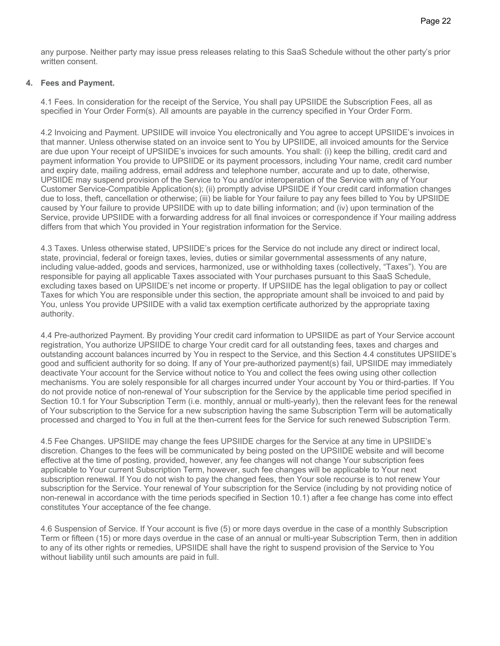any purpose. Neither party may issue press releases relating to this SaaS Schedule without the other party's prior written consent.

## **4. Fees and Payment.**

4.1 Fees. In consideration for the receipt of the Service, You shall pay UPSIIDE the Subscription Fees, all as specified in Your Order Form(s). All amounts are payable in the currency specified in Your Order Form.

4.2 Invoicing and Payment. UPSIIDE will invoice You electronically and You agree to accept UPSIIDE's invoices in that manner. Unless otherwise stated on an invoice sent to You by UPSIIDE, all invoiced amounts for the Service are due upon Your receipt of UPSIIDE's invoices for such amounts. You shall: (i) keep the billing, credit card and payment information You provide to UPSIIDE or its payment processors, including Your name, credit card number and expiry date, mailing address, email address and telephone number, accurate and up to date, otherwise, UPSIIDE may suspend provision of the Service to You and/or interoperation of the Service with any of Your Customer Service-Compatible Application(s); (ii) promptly advise UPSIIDE if Your credit card information changes due to loss, theft, cancellation or otherwise; (iii) be liable for Your failure to pay any fees billed to You by UPSIIDE caused by Your failure to provide UPSIIDE with up to date billing information; and (iv) upon termination of the Service, provide UPSIIDE with a forwarding address for all final invoices or correspondence if Your mailing address differs from that which You provided in Your registration information for the Service.

4.3 Taxes. Unless otherwise stated, UPSIIDE's prices for the Service do not include any direct or indirect local, state, provincial, federal or foreign taxes, levies, duties or similar governmental assessments of any nature, including value-added, goods and services, harmonized, use or withholding taxes (collectively, "Taxes"). You are responsible for paying all applicable Taxes associated with Your purchases pursuant to this SaaS Schedule, excluding taxes based on UPSIIDE's net income or property. If UPSIIDE has the legal obligation to pay or collect Taxes for which You are responsible under this section, the appropriate amount shall be invoiced to and paid by You, unless You provide UPSIIDE with a valid tax exemption certificate authorized by the appropriate taxing authority.

4.4 Pre-authorized Payment. By providing Your credit card information to UPSIIDE as part of Your Service account registration, You authorize UPSIIDE to charge Your credit card for all outstanding fees, taxes and charges and outstanding account balances incurred by You in respect to the Service, and this Section 4.4 constitutes UPSIIDE's good and sufficient authority for so doing. If any of Your pre-authorized payment(s) fail, UPSIIDE may immediately deactivate Your account for the Service without notice to You and collect the fees owing using other collection mechanisms. You are solely responsible for all charges incurred under Your account by You or third-parties. If You do not provide notice of non-renewal of Your subscription for the Service by the applicable time period specified in Section 10.1 for Your Subscription Term (i.e. monthly, annual or multi-yearly), then the relevant fees for the renewal of Your subscription to the Service for a new subscription having the same Subscription Term will be automatically processed and charged to You in full at the then-current fees for the Service for such renewed Subscription Term.

4.5 Fee Changes. UPSIIDE may change the fees UPSIIDE charges for the Service at any time in UPSIIDE's discretion. Changes to the fees will be communicated by being posted on the UPSIIDE website and will become effective at the time of posting, provided, however, any fee changes will not change Your subscription fees applicable to Your current Subscription Term, however, such fee changes will be applicable to Your next subscription renewal. If You do not wish to pay the changed fees, then Your sole recourse is to not renew Your subscription for the Service. Your renewal of Your subscription for the Service (including by not providing notice of non-renewal in accordance with the time periods specified in Section 10.1) after a fee change has come into effect constitutes Your acceptance of the fee change.

4.6 Suspension of Service. If Your account is five (5) or more days overdue in the case of a monthly Subscription Term or fifteen (15) or more days overdue in the case of an annual or multi-year Subscription Term, then in addition to any of its other rights or remedies, UPSIIDE shall have the right to suspend provision of the Service to You without liability until such amounts are paid in full.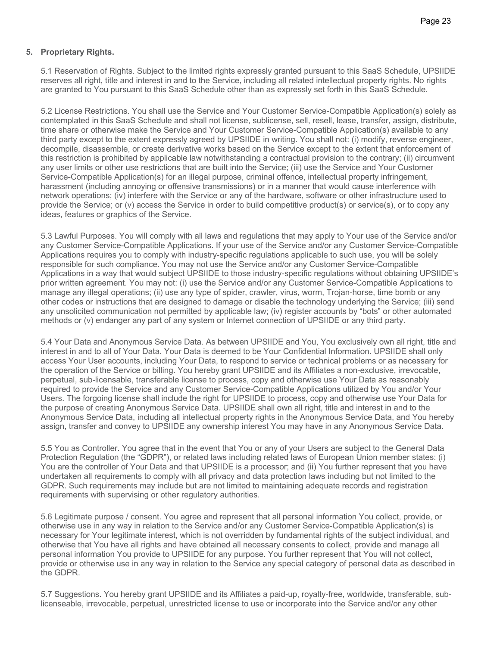## **5. Proprietary Rights.**

5.1 Reservation of Rights. Subject to the limited rights expressly granted pursuant to this SaaS Schedule, UPSIIDE reserves all right, title and interest in and to the Service, including all related intellectual property rights. No rights are granted to You pursuant to this SaaS Schedule other than as expressly set forth in this SaaS Schedule.

5.2 License Restrictions. You shall use the Service and Your Customer Service-Compatible Application(s) solely as contemplated in this SaaS Schedule and shall not license, sublicense, sell, resell, lease, transfer, assign, distribute, time share or otherwise make the Service and Your Customer Service-Compatible Application(s) available to any third party except to the extent expressly agreed by UPSIIDE in writing. You shall not: (i) modify, reverse engineer, decompile, disassemble, or create derivative works based on the Service except to the extent that enforcement of this restriction is prohibited by applicable law notwithstanding a contractual provision to the contrary; (ii) circumvent any user limits or other use restrictions that are built into the Service; (iii) use the Service and Your Customer Service-Compatible Application(s) for an illegal purpose, criminal offence, intellectual property infringement, harassment (including annoying or offensive transmissions) or in a manner that would cause interference with network operations; (iv) interfere with the Service or any of the hardware, software or other infrastructure used to provide the Service; or (v) access the Service in order to build competitive product(s) or service(s), or to copy any ideas, features or graphics of the Service.

5.3 Lawful Purposes. You will comply with all laws and regulations that may apply to Your use of the Service and/or any Customer Service-Compatible Applications. If your use of the Service and/or any Customer Service-Compatible Applications requires you to comply with industry-specific regulations applicable to such use, you will be solely responsible for such compliance. You may not use the Service and/or any Customer Service-Compatible Applications in a way that would subject UPSIIDE to those industry-specific regulations without obtaining UPSIIDE's prior written agreement. You may not: (i) use the Service and/or any Customer Service-Compatible Applications to manage any illegal operations; (ii) use any type of spider, crawler, virus, worm, Trojan-horse, time bomb or any other codes or instructions that are designed to damage or disable the technology underlying the Service; (iii) send any unsolicited communication not permitted by applicable law; (iv) register accounts by "bots" or other automated methods or (v) endanger any part of any system or Internet connection of UPSIIDE or any third party.

5.4 Your Data and Anonymous Service Data. As between UPSIIDE and You, You exclusively own all right, title and interest in and to all of Your Data. Your Data is deemed to be Your Confidential Information. UPSIIDE shall only access Your User accounts, including Your Data, to respond to service or technical problems or as necessary for the operation of the Service or billing. You hereby grant UPSIIDE and its Affiliates a non-exclusive, irrevocable, perpetual, sub-licensable, transferable license to process, copy and otherwise use Your Data as reasonably required to provide the Service and any Customer Service-Compatible Applications utilized by You and/or Your Users. The forgoing license shall include the right for UPSIIDE to process, copy and otherwise use Your Data for the purpose of creating Anonymous Service Data. UPSIIDE shall own all right, title and interest in and to the Anonymous Service Data, including all intellectual property rights in the Anonymous Service Data, and You hereby assign, transfer and convey to UPSIIDE any ownership interest You may have in any Anonymous Service Data.

5.5 You as Controller. You agree that in the event that You or any of your Users are subject to the General Data Protection Regulation (the "GDPR"), or related laws including related laws of European Union member states: (i) You are the controller of Your Data and that UPSIIDE is a processor; and (ii) You further represent that you have undertaken all requirements to comply with all privacy and data protection laws including but not limited to the GDPR. Such requirements may include but are not limited to maintaining adequate records and registration requirements with supervising or other regulatory authorities.

5.6 Legitimate purpose / consent. You agree and represent that all personal information You collect, provide, or otherwise use in any way in relation to the Service and/or any Customer Service-Compatible Application(s) is necessary for Your legitimate interest, which is not overridden by fundamental rights of the subject individual, and otherwise that You have all rights and have obtained all necessary consents to collect, provide and manage all personal information You provide to UPSIIDE for any purpose. You further represent that You will not collect, provide or otherwise use in any way in relation to the Service any special category of personal data as described in the GDPR.

5.7 Suggestions. You hereby grant UPSIIDE and its Affiliates a paid-up, royalty-free, worldwide, transferable, sublicenseable, irrevocable, perpetual, unrestricted license to use or incorporate into the Service and/or any other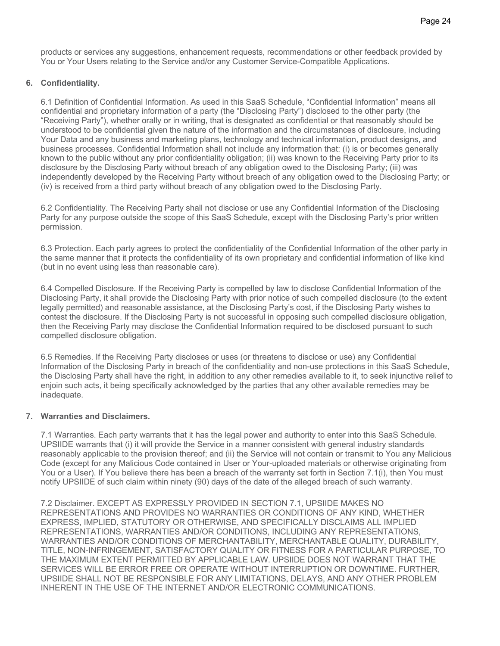products or services any suggestions, enhancement requests, recommendations or other feedback provided by You or Your Users relating to the Service and/or any Customer Service-Compatible Applications.

## **6. Confidentiality.**

6.1 Definition of Confidential Information. As used in this SaaS Schedule, "Confidential Information" means all confidential and proprietary information of a party (the "Disclosing Party") disclosed to the other party (the "Receiving Party"), whether orally or in writing, that is designated as confidential or that reasonably should be understood to be confidential given the nature of the information and the circumstances of disclosure, including Your Data and any business and marketing plans, technology and technical information, product designs, and business processes. Confidential Information shall not include any information that: (i) is or becomes generally known to the public without any prior confidentiality obligation; (ii) was known to the Receiving Party prior to its disclosure by the Disclosing Party without breach of any obligation owed to the Disclosing Party; (iii) was independently developed by the Receiving Party without breach of any obligation owed to the Disclosing Party; or (iv) is received from a third party without breach of any obligation owed to the Disclosing Party.

6.2 Confidentiality. The Receiving Party shall not disclose or use any Confidential Information of the Disclosing Party for any purpose outside the scope of this SaaS Schedule, except with the Disclosing Party's prior written permission.

6.3 Protection. Each party agrees to protect the confidentiality of the Confidential Information of the other party in the same manner that it protects the confidentiality of its own proprietary and confidential information of like kind (but in no event using less than reasonable care).

6.4 Compelled Disclosure. If the Receiving Party is compelled by law to disclose Confidential Information of the Disclosing Party, it shall provide the Disclosing Party with prior notice of such compelled disclosure (to the extent legally permitted) and reasonable assistance, at the Disclosing Party's cost, if the Disclosing Party wishes to contest the disclosure. If the Disclosing Party is not successful in opposing such compelled disclosure obligation, then the Receiving Party may disclose the Confidential Information required to be disclosed pursuant to such compelled disclosure obligation.

6.5 Remedies. If the Receiving Party discloses or uses (or threatens to disclose or use) any Confidential Information of the Disclosing Party in breach of the confidentiality and non-use protections in this SaaS Schedule, the Disclosing Party shall have the right, in addition to any other remedies available to it, to seek injunctive relief to enjoin such acts, it being specifically acknowledged by the parties that any other available remedies may be inadequate.

## **7. Warranties and Disclaimers.**

7.1 Warranties. Each party warrants that it has the legal power and authority to enter into this SaaS Schedule. UPSIIDE warrants that (i) it will provide the Service in a manner consistent with general industry standards reasonably applicable to the provision thereof; and (ii) the Service will not contain or transmit to You any Malicious Code (except for any Malicious Code contained in User or Your-uploaded materials or otherwise originating from You or a User). If You believe there has been a breach of the warranty set forth in Section 7.1(i), then You must notify UPSIIDE of such claim within ninety (90) days of the date of the alleged breach of such warranty.

7.2 Disclaimer. EXCEPT AS EXPRESSLY PROVIDED IN SECTION 7.1, UPSIIDE MAKES NO REPRESENTATIONS AND PROVIDES NO WARRANTIES OR CONDITIONS OF ANY KIND, WHETHER EXPRESS, IMPLIED, STATUTORY OR OTHERWISE, AND SPECIFICALLY DISCLAIMS ALL IMPLIED REPRESENTATIONS, WARRANTIES AND/OR CONDITIONS, INCLUDING ANY REPRESENTATIONS, WARRANTIES AND/OR CONDITIONS OF MERCHANTABILITY, MERCHANTABLE QUALITY, DURABILITY, TITLE, NON-INFRINGEMENT, SATISFACTORY QUALITY OR FITNESS FOR A PARTICULAR PURPOSE, TO THE MAXIMUM EXTENT PERMITTED BY APPLICABLE LAW. UPSIIDE DOES NOT WARRANT THAT THE SERVICES WILL BE ERROR FREE OR OPERATE WITHOUT INTERRUPTION OR DOWNTIME. FURTHER, UPSIIDE SHALL NOT BE RESPONSIBLE FOR ANY LIMITATIONS, DELAYS, AND ANY OTHER PROBLEM INHERENT IN THE USE OF THE INTERNET AND/OR ELECTRONIC COMMUNICATIONS.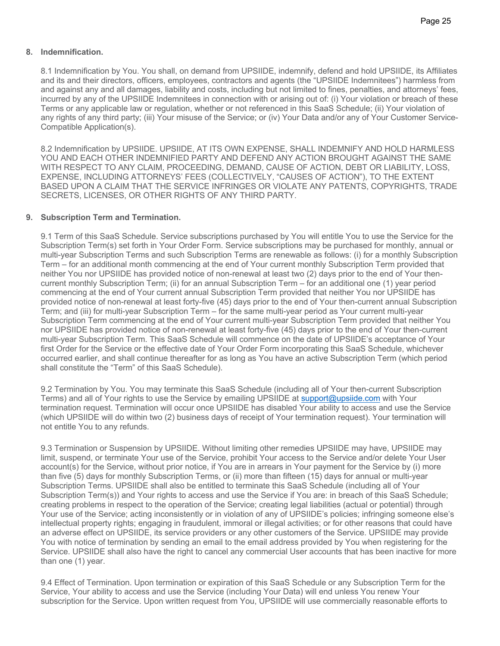## **8. Indemnification.**

8.1 Indemnification by You. You shall, on demand from UPSIIDE, indemnify, defend and hold UPSIIDE, its Affiliates and its and their directors, officers, employees, contractors and agents (the "UPSIIDE Indemnitees") harmless from and against any and all damages, liability and costs, including but not limited to fines, penalties, and attorneys' fees, incurred by any of the UPSIIDE Indemnitees in connection with or arising out of: (i) Your violation or breach of these Terms or any applicable law or regulation, whether or not referenced in this SaaS Schedule; (ii) Your violation of any rights of any third party; (iii) Your misuse of the Service; or (iv) Your Data and/or any of Your Customer Service-Compatible Application(s).

8.2 Indemnification by UPSIIDE. UPSIIDE, AT ITS OWN EXPENSE, SHALL INDEMNIFY AND HOLD HARMLESS YOU AND EACH OTHER INDEMNIFIED PARTY AND DEFEND ANY ACTION BROUGHT AGAINST THE SAME WITH RESPECT TO ANY CLAIM, PROCEEDING, DEMAND, CAUSE OF ACTION, DEBT OR LIABILITY, LOSS, EXPENSE, INCLUDING ATTORNEYS' FEES (COLLECTIVELY, "CAUSES OF ACTION"), TO THE EXTENT BASED UPON A CLAIM THAT THE SERVICE INFRINGES OR VIOLATE ANY PATENTS, COPYRIGHTS, TRADE SECRETS, LICENSES, OR OTHER RIGHTS OF ANY THIRD PARTY.

#### **9. Subscription Term and Termination.**

9.1 Term of this SaaS Schedule. Service subscriptions purchased by You will entitle You to use the Service for the Subscription Term(s) set forth in Your Order Form. Service subscriptions may be purchased for monthly, annual or multi-year Subscription Terms and such Subscription Terms are renewable as follows: (i) for a monthly Subscription Term – for an additional month commencing at the end of Your current monthly Subscription Term provided that neither You nor UPSIIDE has provided notice of non-renewal at least two (2) days prior to the end of Your thencurrent monthly Subscription Term; (ii) for an annual Subscription Term – for an additional one (1) year period commencing at the end of Your current annual Subscription Term provided that neither You nor UPSIIDE has provided notice of non-renewal at least forty-five (45) days prior to the end of Your then-current annual Subscription Term; and (iii) for multi-year Subscription Term – for the same multi-year period as Your current multi-year Subscription Term commencing at the end of Your current multi-year Subscription Term provided that neither You nor UPSIIDE has provided notice of non-renewal at least forty-five (45) days prior to the end of Your then-current multi-year Subscription Term. This SaaS Schedule will commence on the date of UPSIIDE's acceptance of Your first Order for the Service or the effective date of Your Order Form incorporating this SaaS Schedule, whichever occurred earlier, and shall continue thereafter for as long as You have an active Subscription Term (which period shall constitute the "Term" of this SaaS Schedule).

9.2 Termination by You. You may terminate this SaaS Schedule (including all of Your then-current Subscription Terms) and all of Your rights to use the Service by emailing UPSIIDE at support@upsiide.com with Your termination request. Termination will occur once UPSIIDE has disabled Your ability to access and use the Service (which UPSIIDE will do within two (2) business days of receipt of Your termination request). Your termination will not entitle You to any refunds.

9.3 Termination or Suspension by UPSIIDE. Without limiting other remedies UPSIIDE may have, UPSIIDE may limit, suspend, or terminate Your use of the Service, prohibit Your access to the Service and/or delete Your User account(s) for the Service, without prior notice, if You are in arrears in Your payment for the Service by (i) more than five (5) days for monthly Subscription Terms, or (ii) more than fifteen (15) days for annual or multi-year Subscription Terms. UPSIIDE shall also be entitled to terminate this SaaS Schedule (including all of Your Subscription Term(s)) and Your rights to access and use the Service if You are: in breach of this SaaS Schedule; creating problems in respect to the operation of the Service; creating legal liabilities (actual or potential) through Your use of the Service; acting inconsistently or in violation of any of UPSIIDE's policies; infringing someone else's intellectual property rights; engaging in fraudulent, immoral or illegal activities; or for other reasons that could have an adverse effect on UPSIIDE, its service providers or any other customers of the Service. UPSIIDE may provide You with notice of termination by sending an email to the email address provided by You when registering for the Service. UPSIIDE shall also have the right to cancel any commercial User accounts that has been inactive for more than one (1) year.

9.4 Effect of Termination. Upon termination or expiration of this SaaS Schedule or any Subscription Term for the Service, Your ability to access and use the Service (including Your Data) will end unless You renew Your subscription for the Service. Upon written request from You, UPSIIDE will use commercially reasonable efforts to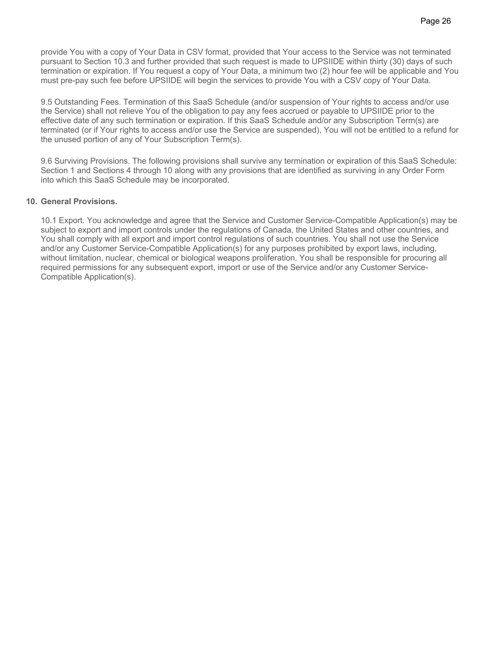provide You with a copy of Your Data in CSV format, provided that Your access to the Service was not terminated pursuant to Section 10.3 and further provided that such request is made to UPSIIDE within thirty (30) days of such termination or expiration. If You request a copy of Your Data, a minimum two (2) hour fee will be applicable and You must pre-pay such fee before UPSIIDE will begin the services to provide You with a CSV copy of Your Data.

9.5 Outstanding Fees. Termination of this SaaS Schedule (and/or suspension of Your rights to access and/or use the Service) shall not relieve You of the obligation to pay any fees accrued or payable to UPSIIDE prior to the effective date of any such termination or expiration. If this SaaS Schedule and/or any Subscription Term(s) are terminated (or if Your rights to access and/or use the Service are suspended), You will not be entitled to a refund for the unused portion of any of Your Subscription Term(s).

9.6 Surviving Provisions. The following provisions shall survive any termination or expiration of this SaaS Schedule: Section 1 and Sections 4 through 10 along with any provisions that are identified as surviving in any Order Form into which this SaaS Schedule may be incorporated.

#### **10. General Provisions.**

10.1 Export. You acknowledge and agree that the Service and Customer Service-Compatible Application(s) may be subject to export and import controls under the regulations of Canada, the United States and other countries, and You shall comply with all export and import control regulations of such countries. You shall not use the Service and/or any Customer Service-Compatible Application(s) for any purposes prohibited by export laws, including, without limitation, nuclear, chemical or biological weapons proliferation. You shall be responsible for procuring all required permissions for any subsequent export, import or use of the Service and/or any Customer Service-Compatible Application(s).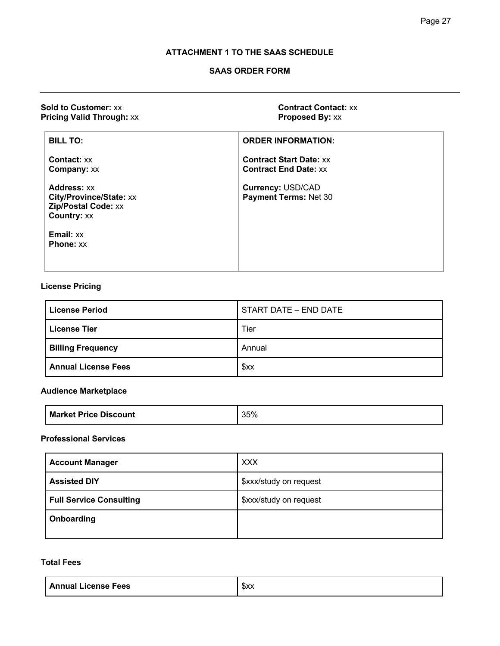## **ATTACHMENT 1 TO THE SAAS SCHEDULE**

#### **SAAS ORDER FORM**

#### **Sold to Customer:**  $xx$  **Contract Contact:**  $xx$  **Proposed By:**  $xx$  **Proposed By:**  $xx$ **Pricing Valid Through: xx**

| <b>BILL TO:</b>                                                                                   | <b>ORDER INFORMATION:</b>                                      |
|---------------------------------------------------------------------------------------------------|----------------------------------------------------------------|
| <b>Contact: XX</b><br><b>Company:</b> xx                                                          | <b>Contract Start Date: XX</b><br><b>Contract End Date: XX</b> |
| <b>Address: XX</b><br><b>City/Province/State: xx</b><br>Zip/Postal Code: xx<br><b>Country: XX</b> | <b>Currency: USD/CAD</b><br>Payment Terms: Net 30              |
| <b>Email:</b> xx<br><b>Phone: xx</b>                                                              |                                                                |

## **License Pricing**

| <b>License Period</b>      | START DATE – END DATE |
|----------------------------|-----------------------|
| <b>License Tier</b>        | Tier                  |
| <b>Billing Frequency</b>   | Annual                |
| <b>Annual License Fees</b> | \$xx                  |

## **Audience Marketplace**

| <b>Market Price Discount</b> | 35% |
|------------------------------|-----|
|                              |     |

## **Professional Services**

| <b>Account Manager</b>         | <b>XXX</b>             |
|--------------------------------|------------------------|
| <b>Assisted DIY</b>            | \$xxx/study on request |
| <b>Full Service Consulting</b> | \$xxx/study on request |
| Onboarding                     |                        |

## **Total Fees**

| <b>Annual License Fees</b> | \$xx |
|----------------------------|------|
|----------------------------|------|